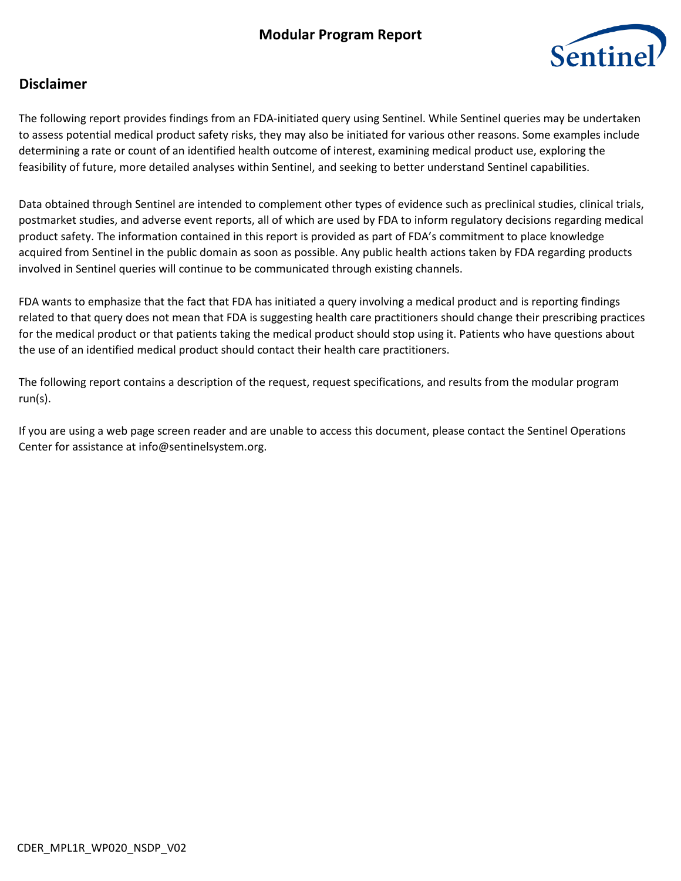# **Modular Program Report**



## **Disclaimer**

The following report provides findings from an FDA‐initiated query using Sentinel. While Sentinel queries may be undertaken to assess potential medical product safety risks, they may also be initiated for various other reasons. Some examples include determining a rate or count of an identified health outcome of interest, examining medical product use, exploring the feasibility of future, more detailed analyses within Sentinel, and seeking to better understand Sentinel capabilities.

Data obtained through Sentinel are intended to complement other types of evidence such as preclinical studies, clinical trials, postmarket studies, and adverse event reports, all of which are used by FDA to inform regulatory decisions regarding medical product safety. The information contained in this report is provided as part of FDA's commitment to place knowledge acquired from Sentinel in the public domain as soon as possible. Any public health actions taken by FDA regarding products involved in Sentinel queries will continue to be communicated through existing channels.

FDA wants to emphasize that the fact that FDA has initiated a query involving a medical product and is reporting findings related to that query does not mean that FDA is suggesting health care practitioners should change their prescribing practices for the medical product or that patients taking the medical product should stop using it. Patients who have questions about the use of an identified medical product should contact their health care practitioners.

The following report contains a description of the request, request specifications, and results from the modular program run(s).

If you are using a web page screen reader and are unable to access this document, please contact the Sentinel Operations Center for assistance at info@sentinelsystem.org.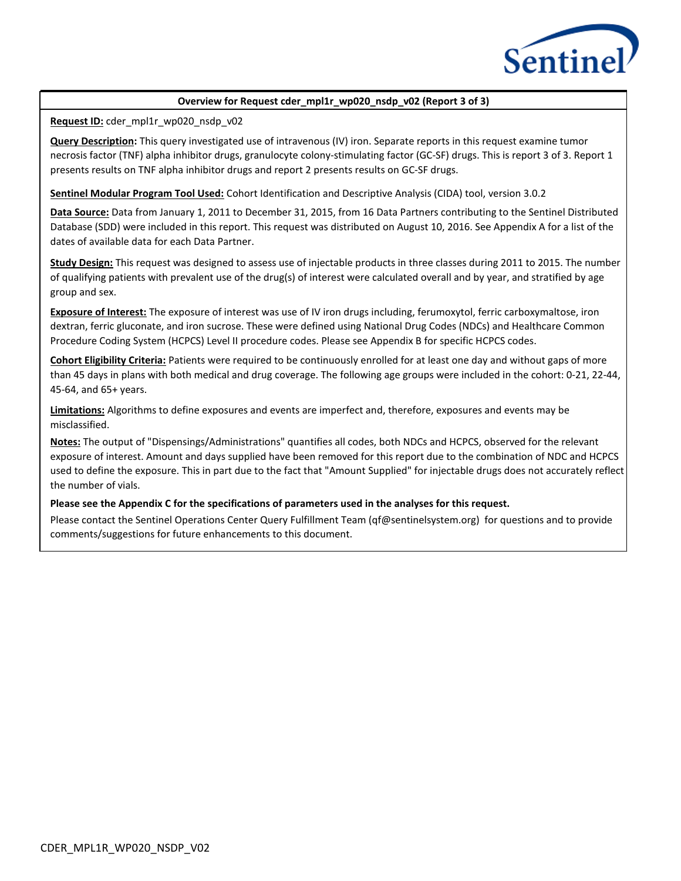

#### **Overview for Request cder\_mpl1r\_wp020\_nsdp\_v02 (Report 3 of 3)**

**Request ID:** cder\_mpl1r\_wp020\_nsdp\_v02

**Query Description:** This query investigated use of intravenous (IV) iron. Separate reports in this request examine tumor necrosis factor (TNF) alpha inhibitor drugs, granulocyte colony-stimulating factor (GC-SF) drugs. This is report 3 of 3. Report 1 presents results on TNF alpha inhibitor drugs and report 2 presents results on GC-SF drugs.

**Sentinel Modular Program Tool Used:** Cohort Identification and Descriptive Analysis (CIDA) tool, version 3.0.2

**Data Source:** Data from January 1, 2011 to December 31, 2015, from 16 Data Partners contributing to the Sentinel Distributed Database (SDD) were included in this report. This request was distributed on August 10, 2016. See Appendix A for a list of the dates of available data for each Data Partner.

**Study Design:** This request was designed to assess use of injectable products in three classes during 2011 to 2015. The number of qualifying patients with prevalent use of the drug(s) of interest were calculated overall and by year, and stratified by age group and sex.

**Exposure of Interest:** The exposure of interest was use of IV iron drugs including, ferumoxytol, ferric carboxymaltose, iron dextran, ferric gluconate, and iron sucrose. These were defined using National Drug Codes (NDCs) and Healthcare Common Procedure Coding System (HCPCS) Level II procedure codes. Please see Appendix B for specific HCPCS codes.

**Cohort Eligibility Criteria:** Patients were required to be continuously enrolled for at least one day and without gaps of more than 45 days in plans with both medical and drug coverage. The following age groups were included in the cohort: 0-21, 22-44, 45-64, and 65+ years.

**Limitations:** Algorithms to define exposures and events are imperfect and, therefore, exposures and events may be misclassified.

**Notes:** The output of "Dispensings/Administrations" quantifies all codes, both NDCs and HCPCS, observed for the relevant exposure of interest. Amount and days supplied have been removed for this report due to the combination of NDC and HCPCS used to define the exposure. This in part due to the fact that "Amount Supplied" for injectable drugs does not accurately reflect the number of vials.

**Please see the Appendix C for the specifications of parameters used in the analyses for this request.**

Please contact the Sentinel Operations Center Query Fulfillment Team (qf@sentinelsystem.org) for questions and to provide comments/suggestions for future enhancements to this document.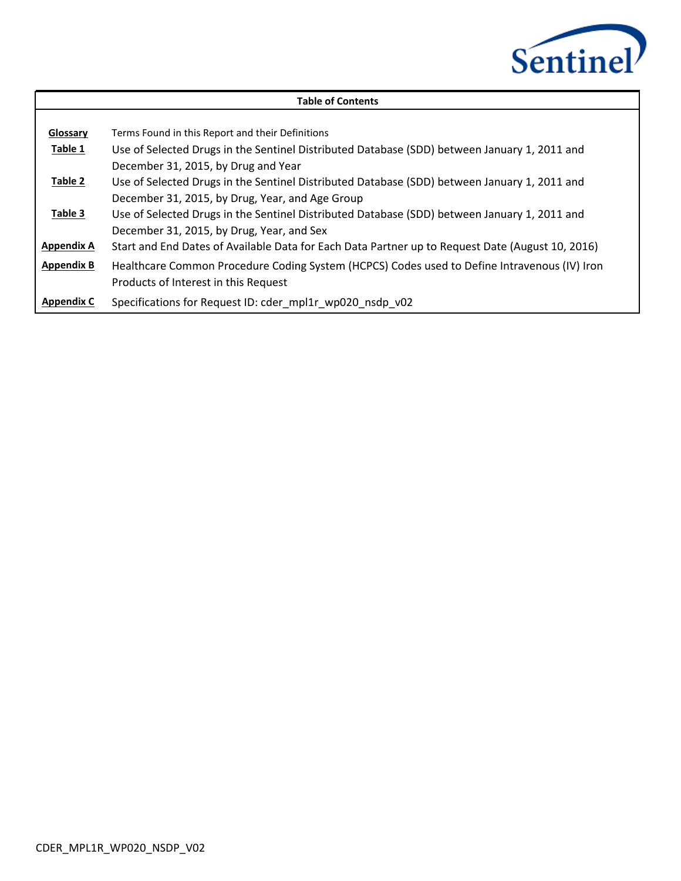

|                   | <b>Table of Contents</b>                                                                         |
|-------------------|--------------------------------------------------------------------------------------------------|
|                   |                                                                                                  |
| Glossary          | Terms Found in this Report and their Definitions                                                 |
| Table 1           | Use of Selected Drugs in the Sentinel Distributed Database (SDD) between January 1, 2011 and     |
|                   | December 31, 2015, by Drug and Year                                                              |
| Table 2           | Use of Selected Drugs in the Sentinel Distributed Database (SDD) between January 1, 2011 and     |
|                   | December 31, 2015, by Drug, Year, and Age Group                                                  |
| Table 3           | Use of Selected Drugs in the Sentinel Distributed Database (SDD) between January 1, 2011 and     |
|                   | December 31, 2015, by Drug, Year, and Sex                                                        |
| <b>Appendix A</b> | Start and End Dates of Available Data for Each Data Partner up to Request Date (August 10, 2016) |
| <b>Appendix B</b> | Healthcare Common Procedure Coding System (HCPCS) Codes used to Define Intravenous (IV) Iron     |
|                   | Products of Interest in this Request                                                             |
| <b>Appendix C</b> | Specifications for Request ID: cder_mpl1r_wp020_nsdp_v02                                         |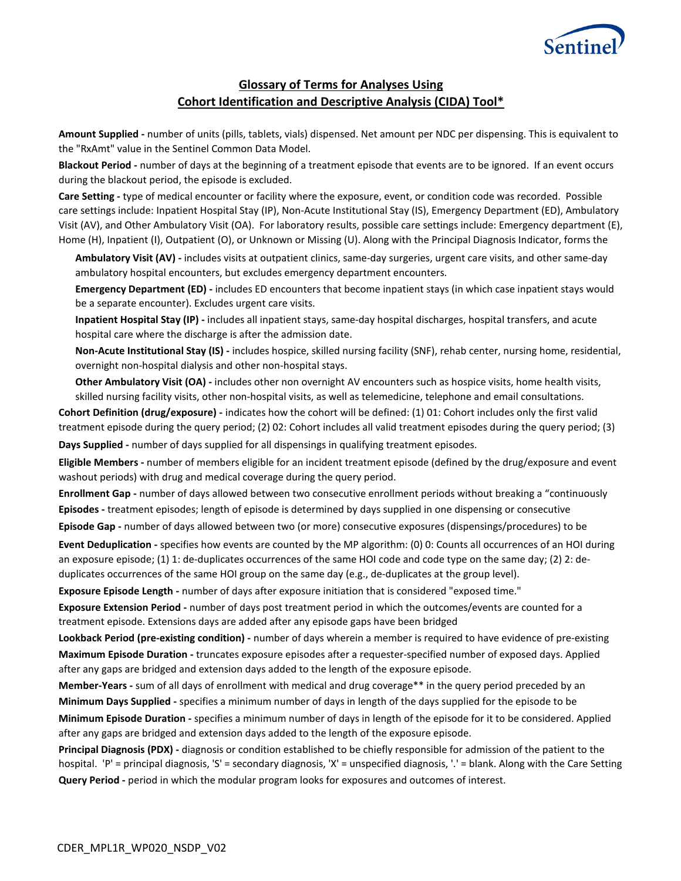

### **Glossary of Terms for Analyses Using Cohort Identification and Descriptive Analysis (CIDA) Tool\***

**Amount Supplied -** number of units (pills, tablets, vials) dispensed. Net amount per NDC per dispensing. This is equivalent to the "RxAmt" value in the Sentinel Common Data Model.

**Blackout Period -** number of days at the beginning of a treatment episode that events are to be ignored. If an event occurs during the blackout period, the episode is excluded.

**Care Setting -** type of medical encounter or facility where the exposure, event, or condition code was recorded. Possible care settings include: Inpatient Hospital Stay (IP), Non-Acute Institutional Stay (IS), Emergency Department (ED), Ambulatory Visit (AV), and Other Ambulatory Visit (OA). For laboratory results, possible care settings include: Emergency department (E), Home (H), Inpatient (I), Outpatient (O), or Unknown or Missing (U). Along with the Principal Diagnosis Indicator, forms the

Ambulatory Visit (AV) - includes visits at outpatient clinics, same-day surgeries, urgent care visits, and other same-day ambulatory hospital encounters, but excludes emergency department encounters.

**Emergency Department (ED) -** includes ED encounters that become inpatient stays (in which case inpatient stays would be a separate encounter). Excludes urgent care visits.

**Inpatient Hospital Stay (IP) -** includes all inpatient stays, same-day hospital discharges, hospital transfers, and acute hospital care where the discharge is after the admission date.

**Non-Acute Institutional Stay (IS) -** includes hospice, skilled nursing facility (SNF), rehab center, nursing home, residential, overnight non-hospital dialysis and other non-hospital stays.

**Other Ambulatory Visit (OA) -** includes other non overnight AV encounters such as hospice visits, home health visits, skilled nursing facility visits, other non-hospital visits, as well as telemedicine, telephone and email consultations.

**Cohort Definition (drug/exposure) -** indicates how the cohort will be defined: (1) 01: Cohort includes only the first valid treatment episode during the query period; (2) 02: Cohort includes all valid treatment episodes during the query period; (3)

Days Supplied - number of days supplied for all dispensings in qualifying treatment episodes.

**Eligible Members -** number of members eligible for an incident treatment episode (defined by the drug/exposure and event washout periods) with drug and medical coverage during the query period.

**Enrollment Gap -** number of days allowed between two consecutive enrollment periods without breaking a "continuously Episodes - treatment episodes; length of episode is determined by days supplied in one dispensing or consecutive Episode Gap - number of days allowed between two (or more) consecutive exposures (dispensings/procedures) to be

Event Deduplication - specifies how events are counted by the MP algorithm: (0) 0: Counts all occurrences of an HOI during an exposure episode; (1) 1: de-duplicates occurrences of the same HOI code and code type on the same day; (2) 2: deduplicates occurrences of the same HOI group on the same day (e.g., de-duplicates at the group level).

**Exposure Episode Length -** number of days after exposure initiation that is considered "exposed time."

**Exposure Extension Period -** number of days post treatment period in which the outcomes/events are counted for a treatment episode. Extensions days are added after any episode gaps have been bridged

**Lookback Period (pre-existing condition) -** number of days wherein a member is required to have evidence of pre-existing Maximum Episode Duration - truncates exposure episodes after a requester-specified number of exposed days. Applied after any gaps are bridged and extension days added to the length of the exposure episode.

**Member-Years -** sum of all days of enrollment with medical and drug coverage\*\* in the query period preceded by an Minimum Days Supplied - specifies a minimum number of days in length of the days supplied for the episode to be considered. **Minimum Episode Duration -** specifies a minimum number of days in length of the episode for it to be considered. Applied

after any gaps are bridged and extension days added to the length of the exposure episode.

**Principal Diagnosis (PDX) -** diagnosis or condition established to be chiefly responsible for admission of the patient to the hospital. 'P' = principal diagnosis, 'S' = secondary diagnosis, 'X' = unspecified diagnosis, '.' = blank. Along with the Care Setting **Query Period -** period in which the modular program looks for exposures and outcomes of interest.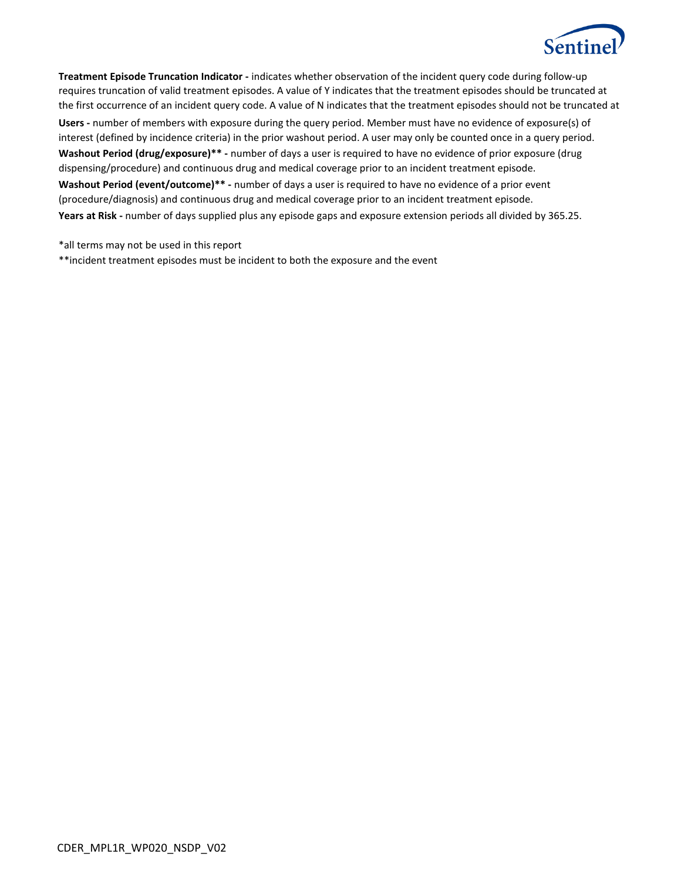

**Treatment Episode Truncation Indicator -** indicates whether observation of the incident query code during follow-up requires truncation of valid treatment episodes. A value of Y indicates that the treatment episodes should be truncated at the first occurrence of an incident query code. A value of N indicates that the treatment episodes should not be truncated at Users - number of members with exposure during the query period. Member must have no evidence of exposure(s) of interest (defined by incidence criteria) in the prior washout period. A user may only be counted once in a query period. **Washout Period (drug/exposure)\*\* -** number of days a user is required to have no evidence of prior exposure (drug dispensing/procedure) and continuous drug and medical coverage prior to an incident treatment episode. **Washout Period (event/outcome)\*\* -** number of days a user is required to have no evidence of a prior event (procedure/diagnosis) and continuous drug and medical coverage prior to an incident treatment episode. **Years at Risk -** number of days supplied plus any episode gaps and exposure extension periods all divided by 365.25.

\*all terms may not be used in this report

\*\*incident treatment episodes must be incident to both the exposure and the event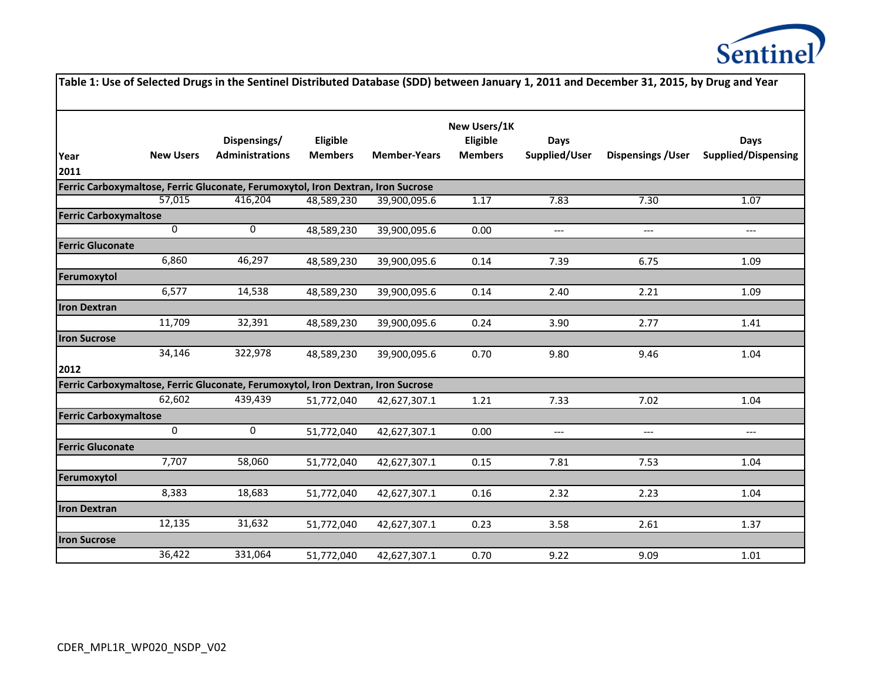

|                              |                  |                                                                                  |                            |                     |                                            |                       | Table 1: Use of Selected Drugs in the Sentinel Distributed Database (SDD) between January 1, 2011 and December 31, 2015, by Drug and Year |                                          |
|------------------------------|------------------|----------------------------------------------------------------------------------|----------------------------|---------------------|--------------------------------------------|-----------------------|-------------------------------------------------------------------------------------------------------------------------------------------|------------------------------------------|
| Year<br>2011                 | <b>New Users</b> | Dispensings/<br><b>Administrations</b>                                           | Eligible<br><b>Members</b> | <b>Member-Years</b> | New Users/1K<br>Eligible<br><b>Members</b> | Days<br>Supplied/User | <b>Dispensings / User</b>                                                                                                                 | Days<br><b>Supplied/Dispensing</b>       |
|                              |                  | Ferric Carboxymaltose, Ferric Gluconate, Ferumoxytol, Iron Dextran, Iron Sucrose |                            |                     |                                            |                       |                                                                                                                                           |                                          |
|                              | 57,015           | 416,204                                                                          | 48,589,230                 | 39,900,095.6        | 1.17                                       | 7.83                  | 7.30                                                                                                                                      | 1.07                                     |
| <b>Ferric Carboxymaltose</b> |                  |                                                                                  |                            |                     |                                            |                       |                                                                                                                                           |                                          |
|                              | 0                | 0                                                                                | 48,589,230                 | 39,900,095.6        | 0.00                                       | ---                   | $\qquad \qquad - -$                                                                                                                       | $\hspace{0.05cm} \ldots \hspace{0.05cm}$ |
| <b>Ferric Gluconate</b>      |                  |                                                                                  |                            |                     |                                            |                       |                                                                                                                                           |                                          |
|                              | 6,860            | 46,297                                                                           | 48,589,230                 | 39,900,095.6        | 0.14                                       | 7.39                  | 6.75                                                                                                                                      | 1.09                                     |
| Ferumoxytol                  |                  |                                                                                  |                            |                     |                                            |                       |                                                                                                                                           |                                          |
|                              | 6,577            | 14,538                                                                           | 48,589,230                 | 39,900,095.6        | 0.14                                       | 2.40                  | 2.21                                                                                                                                      | 1.09                                     |
| <b>Iron Dextran</b>          |                  |                                                                                  |                            |                     |                                            |                       |                                                                                                                                           |                                          |
|                              | 11,709           | 32,391                                                                           | 48,589,230                 | 39,900,095.6        | 0.24                                       | 3.90                  | 2.77                                                                                                                                      | 1.41                                     |
| <b>Iron Sucrose</b>          |                  |                                                                                  |                            |                     |                                            |                       |                                                                                                                                           |                                          |
|                              | 34,146           | 322,978                                                                          | 48,589,230                 | 39,900,095.6        | 0.70                                       | 9.80                  | 9.46                                                                                                                                      | 1.04                                     |
| 2012                         |                  |                                                                                  |                            |                     |                                            |                       |                                                                                                                                           |                                          |
|                              |                  | Ferric Carboxymaltose, Ferric Gluconate, Ferumoxytol, Iron Dextran, Iron Sucrose |                            |                     |                                            |                       |                                                                                                                                           |                                          |
|                              | 62,602           | 439,439                                                                          | 51,772,040                 | 42,627,307.1        | 1.21                                       | 7.33                  | 7.02                                                                                                                                      | 1.04                                     |
| <b>Ferric Carboxymaltose</b> |                  |                                                                                  |                            |                     |                                            |                       |                                                                                                                                           |                                          |
|                              | 0                | $\mathbf 0$                                                                      | 51,772,040                 | 42,627,307.1        | 0.00                                       | ---                   | $\hspace{0.05cm} \ldots$                                                                                                                  | $\hspace{0.05cm} \dashrightarrow$        |
| <b>Ferric Gluconate</b>      |                  |                                                                                  |                            |                     |                                            |                       |                                                                                                                                           |                                          |
|                              | 7,707            | 58,060                                                                           | 51,772,040                 | 42,627,307.1        | 0.15                                       | 7.81                  | 7.53                                                                                                                                      | 1.04                                     |
| Ferumoxytol                  |                  |                                                                                  |                            |                     |                                            |                       |                                                                                                                                           |                                          |
|                              | 8,383            | 18,683                                                                           | 51,772,040                 | 42,627,307.1        | 0.16                                       | 2.32                  | 2.23                                                                                                                                      | 1.04                                     |
| <b>Iron Dextran</b>          |                  |                                                                                  |                            |                     |                                            |                       |                                                                                                                                           |                                          |
|                              | 12,135           | 31,632                                                                           | 51,772,040                 | 42,627,307.1        | 0.23                                       | 3.58                  | 2.61                                                                                                                                      | 1.37                                     |
| <b>Iron Sucrose</b>          |                  |                                                                                  |                            |                     |                                            |                       |                                                                                                                                           |                                          |
|                              | 36,422           | 331,064                                                                          | 51,772,040                 | 42,627,307.1        | 0.70                                       | 9.22                  | 9.09                                                                                                                                      | 1.01                                     |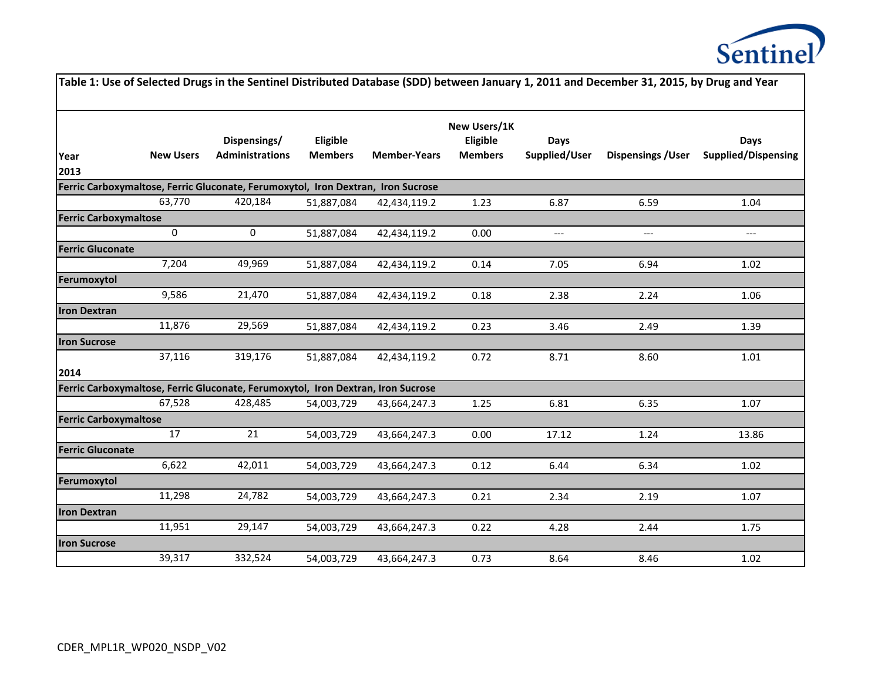

|                              |                  |                                                                                  |                            |                     |                                            |                              | Table 1: Use of Selected Drugs in the Sentinel Distributed Database (SDD) between January 1, 2011 and December 31, 2015, by Drug and Year |                                           |
|------------------------------|------------------|----------------------------------------------------------------------------------|----------------------------|---------------------|--------------------------------------------|------------------------------|-------------------------------------------------------------------------------------------------------------------------------------------|-------------------------------------------|
| Year<br>2013                 | <b>New Users</b> | Dispensings/<br><b>Administrations</b>                                           | Eligible<br><b>Members</b> | <b>Member-Years</b> | New Users/1K<br>Eligible<br><b>Members</b> | <b>Days</b><br>Supplied/User | <b>Dispensings / User</b>                                                                                                                 | <b>Days</b><br><b>Supplied/Dispensing</b> |
|                              |                  | Ferric Carboxymaltose, Ferric Gluconate, Ferumoxytol, Iron Dextran, Iron Sucrose |                            |                     |                                            |                              |                                                                                                                                           |                                           |
|                              | 63,770           | 420,184                                                                          | 51,887,084                 | 42,434,119.2        | 1.23                                       | 6.87                         | 6.59                                                                                                                                      | 1.04                                      |
| <b>Ferric Carboxymaltose</b> |                  |                                                                                  |                            |                     |                                            |                              |                                                                                                                                           |                                           |
|                              | $\mathbf 0$      | 0                                                                                | 51,887,084                 | 42,434,119.2        | 0.00                                       | ---                          | $---$                                                                                                                                     | $---$                                     |
| <b>Ferric Gluconate</b>      |                  |                                                                                  |                            |                     |                                            |                              |                                                                                                                                           |                                           |
|                              | 7,204            | 49,969                                                                           | 51,887,084                 | 42,434,119.2        | 0.14                                       | 7.05                         | 6.94                                                                                                                                      | 1.02                                      |
| Ferumoxytol                  |                  |                                                                                  |                            |                     |                                            |                              |                                                                                                                                           |                                           |
|                              | 9,586            | 21,470                                                                           | 51,887,084                 | 42,434,119.2        | 0.18                                       | 2.38                         | 2.24                                                                                                                                      | 1.06                                      |
| <b>Iron Dextran</b>          |                  |                                                                                  |                            |                     |                                            |                              |                                                                                                                                           |                                           |
|                              | 11,876           | 29,569                                                                           | 51,887,084                 | 42,434,119.2        | 0.23                                       | 3.46                         | 2.49                                                                                                                                      | 1.39                                      |
| <b>Iron Sucrose</b>          |                  |                                                                                  |                            |                     |                                            |                              |                                                                                                                                           |                                           |
|                              | 37,116           | 319,176                                                                          | 51,887,084                 | 42,434,119.2        | 0.72                                       | 8.71                         | 8.60                                                                                                                                      | 1.01                                      |
| 2014                         |                  |                                                                                  |                            |                     |                                            |                              |                                                                                                                                           |                                           |
|                              |                  | Ferric Carboxymaltose, Ferric Gluconate, Ferumoxytol, Iron Dextran, Iron Sucrose |                            |                     |                                            |                              |                                                                                                                                           |                                           |
|                              | 67,528           | 428,485                                                                          | 54,003,729                 | 43,664,247.3        | 1.25                                       | 6.81                         | 6.35                                                                                                                                      | 1.07                                      |
| <b>Ferric Carboxymaltose</b> |                  |                                                                                  |                            |                     |                                            |                              |                                                                                                                                           |                                           |
|                              | 17               | 21                                                                               | 54,003,729                 | 43,664,247.3        | 0.00                                       | 17.12                        | 1.24                                                                                                                                      | 13.86                                     |
| <b>Ferric Gluconate</b>      |                  |                                                                                  |                            |                     |                                            |                              |                                                                                                                                           |                                           |
|                              | 6,622            | 42,011                                                                           | 54,003,729                 | 43,664,247.3        | 0.12                                       | 6.44                         | 6.34                                                                                                                                      | 1.02                                      |
| Ferumoxytol                  | 11,298           |                                                                                  |                            |                     |                                            |                              |                                                                                                                                           |                                           |
| <b>Iron Dextran</b>          |                  | 24,782                                                                           | 54,003,729                 | 43,664,247.3        | 0.21                                       | 2.34                         | 2.19                                                                                                                                      | 1.07                                      |
|                              | 11,951           | 29,147                                                                           | 54,003,729                 | 43,664,247.3        | 0.22                                       | 4.28                         | 2.44                                                                                                                                      | 1.75                                      |
| <b>Iron Sucrose</b>          |                  |                                                                                  |                            |                     |                                            |                              |                                                                                                                                           |                                           |
|                              | 39,317           | 332,524                                                                          | 54,003,729                 | 43,664,247.3        | 0.73                                       | 8.64                         | 8.46                                                                                                                                      | 1.02                                      |
|                              |                  |                                                                                  |                            |                     |                                            |                              |                                                                                                                                           |                                           |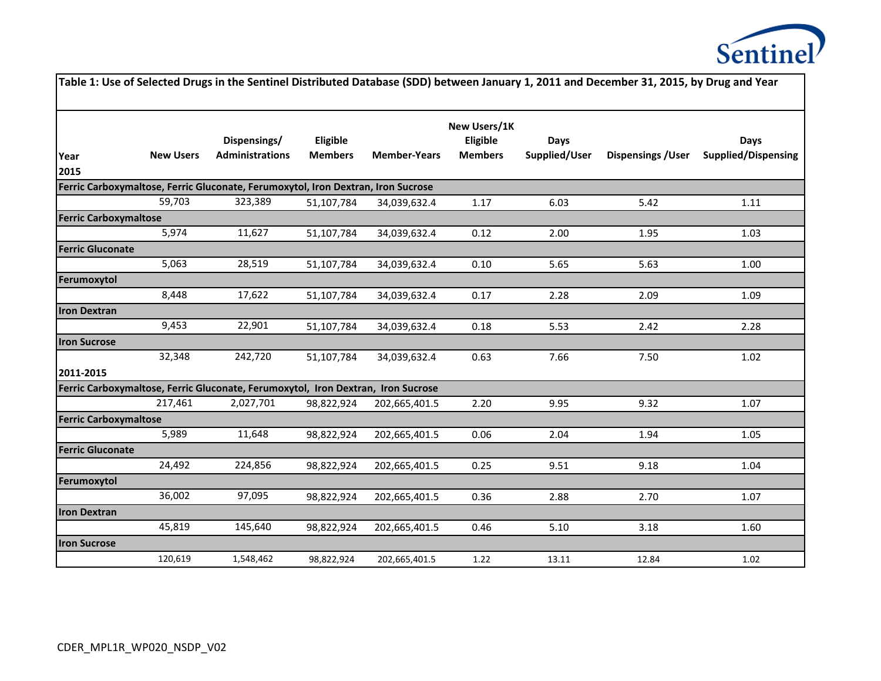

|                              |                  |                                                                                  |                            |                     |                                            |                              | Table 1: Use of Selected Drugs in the Sentinel Distributed Database (SDD) between January 1, 2011 and December 31, 2015, by Drug and Year |                                    |
|------------------------------|------------------|----------------------------------------------------------------------------------|----------------------------|---------------------|--------------------------------------------|------------------------------|-------------------------------------------------------------------------------------------------------------------------------------------|------------------------------------|
| Year<br>2015                 | <b>New Users</b> | Dispensings/<br><b>Administrations</b>                                           | Eligible<br><b>Members</b> | <b>Member-Years</b> | New Users/1K<br>Eligible<br><b>Members</b> | <b>Days</b><br>Supplied/User | <b>Dispensings / User</b>                                                                                                                 | Days<br><b>Supplied/Dispensing</b> |
|                              |                  | Ferric Carboxymaltose, Ferric Gluconate, Ferumoxytol, Iron Dextran, Iron Sucrose |                            |                     |                                            |                              |                                                                                                                                           |                                    |
|                              | 59,703           | 323,389                                                                          | 51,107,784                 | 34,039,632.4        | 1.17                                       | 6.03                         | 5.42                                                                                                                                      | 1.11                               |
| <b>Ferric Carboxymaltose</b> |                  |                                                                                  |                            |                     |                                            |                              |                                                                                                                                           |                                    |
|                              | 5,974            | 11,627                                                                           | 51,107,784                 | 34,039,632.4        | 0.12                                       | 2.00                         | 1.95                                                                                                                                      | 1.03                               |
| <b>Ferric Gluconate</b>      |                  |                                                                                  |                            |                     |                                            |                              |                                                                                                                                           |                                    |
|                              | 5,063            | 28,519                                                                           | 51,107,784                 | 34,039,632.4        | 0.10                                       | 5.65                         | 5.63                                                                                                                                      | 1.00                               |
| Ferumoxytol                  |                  |                                                                                  |                            |                     |                                            |                              |                                                                                                                                           |                                    |
|                              | 8,448            | 17,622                                                                           | 51,107,784                 | 34,039,632.4        | 0.17                                       | 2.28                         | 2.09                                                                                                                                      | 1.09                               |
| <b>Iron Dextran</b>          |                  |                                                                                  |                            |                     |                                            |                              |                                                                                                                                           |                                    |
|                              | 9,453            | 22,901                                                                           | 51,107,784                 | 34,039,632.4        | 0.18                                       | 5.53                         | 2.42                                                                                                                                      | 2.28                               |
| <b>Iron Sucrose</b>          |                  |                                                                                  |                            |                     |                                            |                              |                                                                                                                                           |                                    |
| 2011-2015                    | 32,348           | 242,720                                                                          | 51,107,784                 | 34,039,632.4        | 0.63                                       | 7.66                         | 7.50                                                                                                                                      | 1.02                               |
|                              |                  | Ferric Carboxymaltose, Ferric Gluconate, Ferumoxytol, Iron Dextran, Iron Sucrose |                            |                     |                                            |                              |                                                                                                                                           |                                    |
|                              | 217,461          | 2,027,701                                                                        | 98,822,924                 | 202,665,401.5       | 2.20                                       | 9.95                         | 9.32                                                                                                                                      | 1.07                               |
| <b>Ferric Carboxymaltose</b> |                  |                                                                                  |                            |                     |                                            |                              |                                                                                                                                           |                                    |
|                              | 5,989            | 11,648                                                                           | 98,822,924                 | 202,665,401.5       | 0.06                                       | 2.04                         | 1.94                                                                                                                                      | 1.05                               |
| <b>Ferric Gluconate</b>      |                  |                                                                                  |                            |                     |                                            |                              |                                                                                                                                           |                                    |
|                              | 24,492           | 224,856                                                                          | 98,822,924                 | 202,665,401.5       | 0.25                                       | 9.51                         | 9.18                                                                                                                                      | 1.04                               |
| Ferumoxytol                  |                  |                                                                                  |                            |                     |                                            |                              |                                                                                                                                           |                                    |
|                              | 36,002           | 97,095                                                                           | 98,822,924                 | 202,665,401.5       | 0.36                                       | 2.88                         | 2.70                                                                                                                                      | 1.07                               |
| <b>Iron Dextran</b>          |                  |                                                                                  |                            |                     |                                            |                              |                                                                                                                                           |                                    |
|                              | 45,819           | 145,640                                                                          | 98,822,924                 | 202,665,401.5       | 0.46                                       | 5.10                         | 3.18                                                                                                                                      | 1.60                               |
| <b>Iron Sucrose</b>          |                  |                                                                                  |                            |                     |                                            |                              |                                                                                                                                           |                                    |
|                              | 120,619          | 1,548,462                                                                        | 98,822,924                 | 202,665,401.5       | 1.22                                       | 13.11                        | 12.84                                                                                                                                     | 1.02                               |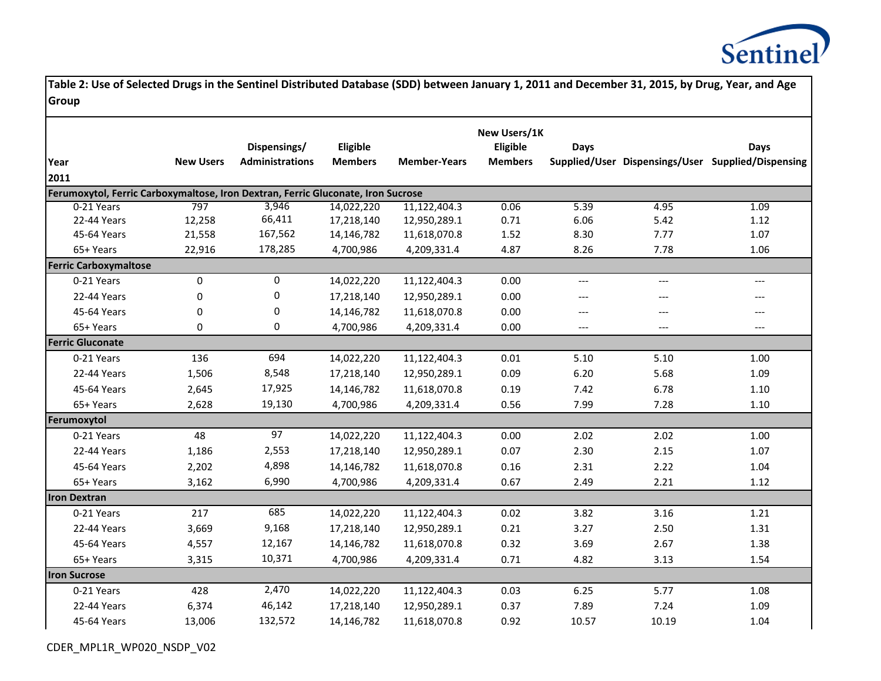

|                                                                                                |                  | Dispensings/           | Eligible       |                     | New Users/1K<br>Eligible | <b>Days</b> |       | <b>Days</b>                                        |
|------------------------------------------------------------------------------------------------|------------------|------------------------|----------------|---------------------|--------------------------|-------------|-------|----------------------------------------------------|
| Year                                                                                           | <b>New Users</b> | <b>Administrations</b> | <b>Members</b> | <b>Member-Years</b> | <b>Members</b>           |             |       | Supplied/User Dispensings/User Supplied/Dispensing |
| 2011                                                                                           |                  |                        |                |                     |                          |             |       |                                                    |
| Ferumoxytol, Ferric Carboxymaltose, Iron Dextran, Ferric Gluconate, Iron Sucrose<br>0-21 Years | 797              | 3,946                  | 14,022,220     | 11,122,404.3        | 0.06                     | 5.39        | 4.95  | 1.09                                               |
| 22-44 Years                                                                                    | 12,258           | 66,411                 | 17,218,140     | 12,950,289.1        | 0.71                     | 6.06        | 5.42  | 1.12                                               |
| 45-64 Years                                                                                    | 21,558           | 167,562                | 14,146,782     | 11,618,070.8        | 1.52                     | 8.30        | 7.77  | 1.07                                               |
| 65+ Years                                                                                      | 22,916           | 178,285                | 4,700,986      | 4,209,331.4         | 4.87                     | 8.26        | 7.78  | 1.06                                               |
| <b>Ferric Carboxymaltose</b>                                                                   |                  |                        |                |                     |                          |             |       |                                                    |
| 0-21 Years                                                                                     | 0                | $\mathbf 0$            | 14,022,220     | 11,122,404.3        | 0.00                     | $---$       | $---$ | $---$                                              |
| 22-44 Years                                                                                    | 0                | $\mathbf 0$            | 17,218,140     | 12,950,289.1        | 0.00                     | $---$       | ---   |                                                    |
| 45-64 Years                                                                                    | $\mathbf 0$      | $\mathbf 0$            | 14,146,782     | 11,618,070.8        | 0.00                     | $---$       | ---   | ---                                                |
| 65+ Years                                                                                      | $\Omega$         | $\Omega$               | 4,700,986      | 4,209,331.4         | 0.00                     | $---$       | $---$ | $---$                                              |
| <b>Ferric Gluconate</b>                                                                        |                  |                        |                |                     |                          |             |       |                                                    |
| 0-21 Years                                                                                     | 136              | 694                    | 14,022,220     | 11,122,404.3        | 0.01                     | 5.10        | 5.10  | 1.00                                               |
| 22-44 Years                                                                                    | 1,506            | 8,548                  | 17,218,140     | 12,950,289.1        | 0.09                     | 6.20        | 5.68  | 1.09                                               |
| 45-64 Years                                                                                    | 2,645            | 17,925                 | 14,146,782     | 11,618,070.8        | 0.19                     | 7.42        | 6.78  | 1.10                                               |
| 65+ Years                                                                                      | 2,628            | 19,130                 | 4,700,986      | 4,209,331.4         | 0.56                     | 7.99        | 7.28  | 1.10                                               |
| Ferumoxytol                                                                                    |                  |                        |                |                     |                          |             |       |                                                    |
| 0-21 Years                                                                                     | 48               | 97                     | 14,022,220     | 11,122,404.3        | 0.00                     | 2.02        | 2.02  | 1.00                                               |
| 22-44 Years                                                                                    | 1,186            | 2,553                  | 17,218,140     | 12,950,289.1        | 0.07                     | 2.30        | 2.15  | 1.07                                               |
| 45-64 Years                                                                                    | 2,202            | 4,898                  | 14,146,782     | 11,618,070.8        | 0.16                     | 2.31        | 2.22  | 1.04                                               |
| 65+ Years                                                                                      | 3,162            | 6,990                  | 4,700,986      | 4,209,331.4         | 0.67                     | 2.49        | 2.21  | 1.12                                               |
| <b>Iron Dextran</b>                                                                            |                  |                        |                |                     |                          |             |       |                                                    |
| 0-21 Years                                                                                     | 217              | 685                    | 14,022,220     | 11,122,404.3        | 0.02                     | 3.82        | 3.16  | 1.21                                               |
| 22-44 Years                                                                                    | 3,669            | 9,168                  | 17,218,140     | 12,950,289.1        | 0.21                     | 3.27        | 2.50  | 1.31                                               |
| 45-64 Years                                                                                    | 4,557            | 12,167                 | 14,146,782     | 11,618,070.8        | 0.32                     | 3.69        | 2.67  | 1.38                                               |
| 65+ Years                                                                                      | 3,315            | 10,371                 | 4,700,986      | 4,209,331.4         | 0.71                     | 4.82        | 3.13  | 1.54                                               |
| <b>Iron Sucrose</b>                                                                            |                  |                        |                |                     |                          |             |       |                                                    |
| 0-21 Years                                                                                     | 428              | 2,470                  | 14,022,220     | 11,122,404.3        | 0.03                     | 6.25        | 5.77  | 1.08                                               |
| 22-44 Years                                                                                    | 6,374            | 46,142                 | 17,218,140     | 12,950,289.1        | 0.37                     | 7.89        | 7.24  | 1.09                                               |
| 45-64 Years                                                                                    | 13,006           | 132,572                | 14,146,782     | 11,618,070.8        | 0.92                     | 10.57       | 10.19 | 1.04                                               |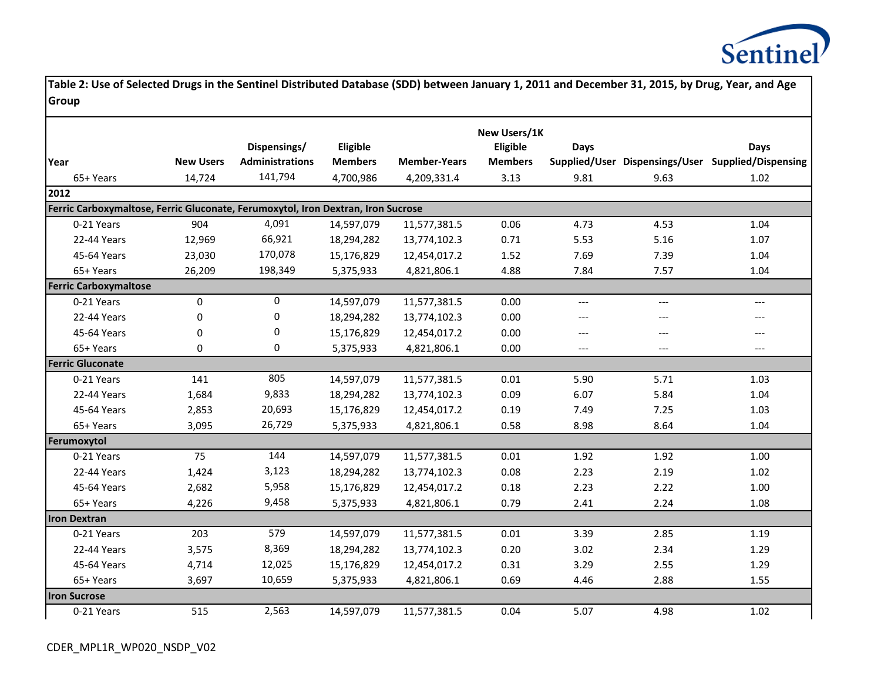

|                                                                                  |                  |                        |                |                     | New Users/1K   |             |       |                                                    |
|----------------------------------------------------------------------------------|------------------|------------------------|----------------|---------------------|----------------|-------------|-------|----------------------------------------------------|
|                                                                                  |                  | Dispensings/           | Eligible       |                     | Eligible       | <b>Days</b> |       | Days                                               |
| Year                                                                             | <b>New Users</b> | <b>Administrations</b> | <b>Members</b> | <b>Member-Years</b> | <b>Members</b> |             |       | Supplied/User Dispensings/User Supplied/Dispensing |
| 65+ Years                                                                        | 14,724           | 141,794                | 4,700,986      | 4,209,331.4         | 3.13           | 9.81        | 9.63  | 1.02                                               |
| 2012                                                                             |                  |                        |                |                     |                |             |       |                                                    |
| Ferric Carboxymaltose, Ferric Gluconate, Ferumoxytol, Iron Dextran, Iron Sucrose |                  |                        |                |                     |                |             |       |                                                    |
| 0-21 Years                                                                       | 904              | 4,091                  | 14,597,079     | 11,577,381.5        | 0.06           | 4.73        | 4.53  | 1.04                                               |
| 22-44 Years                                                                      | 12,969           | 66,921                 | 18,294,282     | 13,774,102.3        | 0.71           | 5.53        | 5.16  | 1.07                                               |
| 45-64 Years                                                                      | 23,030           | 170,078                | 15,176,829     | 12,454,017.2        | 1.52           | 7.69        | 7.39  | 1.04                                               |
| 65+ Years                                                                        | 26,209           | 198,349                | 5,375,933      | 4,821,806.1         | 4.88           | 7.84        | 7.57  | 1.04                                               |
| <b>Ferric Carboxymaltose</b>                                                     |                  |                        |                |                     |                |             |       |                                                    |
| 0-21 Years                                                                       | 0                | $\mathbf 0$            | 14,597,079     | 11,577,381.5        | 0.00           | ---         | $---$ | $---$                                              |
| 22-44 Years                                                                      | 0                | 0                      | 18,294,282     | 13,774,102.3        | 0.00           | ---         | $---$ | $---$                                              |
| 45-64 Years                                                                      | 0                | 0                      | 15,176,829     | 12,454,017.2        | 0.00           | $---$       | $---$ | $---$                                              |
| 65+ Years                                                                        | $\Omega$         | 0                      | 5,375,933      | 4,821,806.1         | 0.00           | $---$       | $---$ | $---$                                              |
| <b>Ferric Gluconate</b>                                                          |                  |                        |                |                     |                |             |       |                                                    |
| 0-21 Years                                                                       | 141              | 805                    | 14,597,079     | 11,577,381.5        | 0.01           | 5.90        | 5.71  | 1.03                                               |
| 22-44 Years                                                                      | 1,684            | 9,833                  | 18,294,282     | 13,774,102.3        | 0.09           | 6.07        | 5.84  | 1.04                                               |
| 45-64 Years                                                                      | 2,853            | 20,693                 | 15,176,829     | 12,454,017.2        | 0.19           | 7.49        | 7.25  | 1.03                                               |
| 65+ Years                                                                        | 3,095            | 26,729                 | 5,375,933      | 4,821,806.1         | 0.58           | 8.98        | 8.64  | 1.04                                               |
| Ferumoxytol                                                                      |                  |                        |                |                     |                |             |       |                                                    |
| 0-21 Years                                                                       | 75               | 144                    | 14,597,079     | 11,577,381.5        | 0.01           | 1.92        | 1.92  | 1.00                                               |
| 22-44 Years                                                                      | 1,424            | 3,123                  | 18,294,282     | 13,774,102.3        | 0.08           | 2.23        | 2.19  | 1.02                                               |
| 45-64 Years                                                                      | 2,682            | 5,958                  | 15,176,829     | 12,454,017.2        | 0.18           | 2.23        | 2.22  | 1.00                                               |
| 65+ Years                                                                        | 4,226            | 9,458                  | 5,375,933      | 4,821,806.1         | 0.79           | 2.41        | 2.24  | 1.08                                               |
| <b>Iron Dextran</b>                                                              |                  |                        |                |                     |                |             |       |                                                    |
| 0-21 Years                                                                       | 203              | 579                    | 14,597,079     | 11,577,381.5        | 0.01           | 3.39        | 2.85  | 1.19                                               |
| 22-44 Years                                                                      | 3,575            | 8,369                  | 18,294,282     | 13,774,102.3        | 0.20           | 3.02        | 2.34  | 1.29                                               |
| 45-64 Years                                                                      | 4,714            | 12,025                 | 15,176,829     | 12,454,017.2        | 0.31           | 3.29        | 2.55  | 1.29                                               |
| 65+ Years                                                                        | 3,697            | 10,659                 | 5,375,933      | 4,821,806.1         | 0.69           | 4.46        | 2.88  | 1.55                                               |
| <b>Iron Sucrose</b>                                                              |                  |                        |                |                     |                |             |       |                                                    |
| 0-21 Years                                                                       | 515              | 2,563                  | 14,597,079     | 11,577,381.5        | 0.04           | 5.07        | 4.98  | 1.02                                               |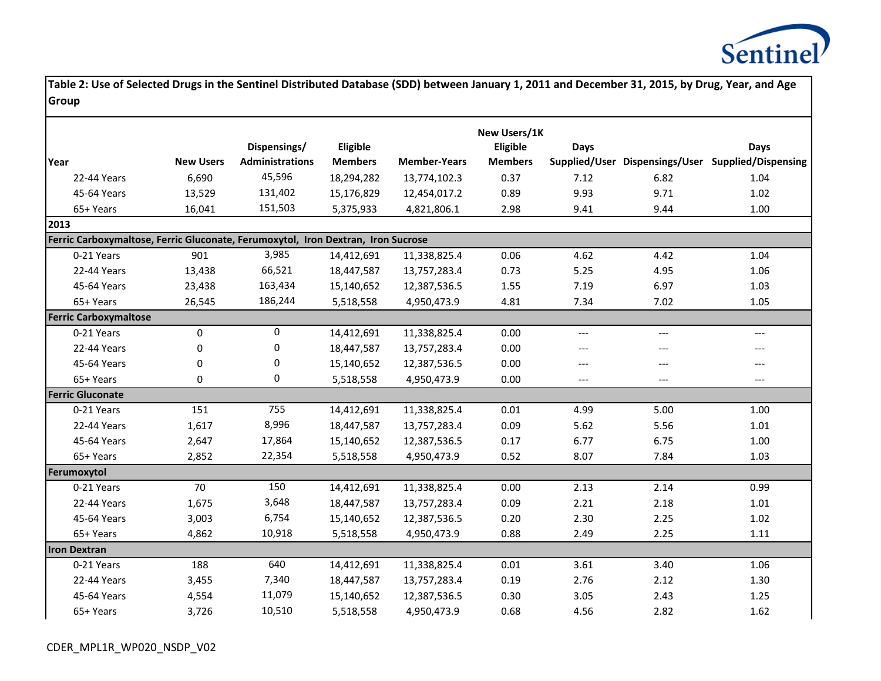

|                                                                                  |                  |                        |                |                     | New Users/1K   |       |       |                                                    |
|----------------------------------------------------------------------------------|------------------|------------------------|----------------|---------------------|----------------|-------|-------|----------------------------------------------------|
|                                                                                  |                  | Dispensings/           | Eligible       |                     | Eligible       | Days  |       | Days                                               |
| Year                                                                             | <b>New Users</b> | <b>Administrations</b> | <b>Members</b> | <b>Member-Years</b> | <b>Members</b> |       |       | Supplied/User Dispensings/User Supplied/Dispensing |
| 22-44 Years                                                                      | 6,690            | 45,596                 | 18,294,282     | 13,774,102.3        | 0.37           | 7.12  | 6.82  | 1.04                                               |
| 45-64 Years                                                                      | 13,529           | 131,402                | 15,176,829     | 12,454,017.2        | 0.89           | 9.93  | 9.71  | 1.02                                               |
| 65+ Years                                                                        | 16,041           | 151,503                | 5,375,933      | 4,821,806.1         | 2.98           | 9.41  | 9.44  | $1.00\,$                                           |
| 2013                                                                             |                  |                        |                |                     |                |       |       |                                                    |
| Ferric Carboxymaltose, Ferric Gluconate, Ferumoxytol, Iron Dextran, Iron Sucrose |                  |                        |                |                     |                |       |       |                                                    |
| 0-21 Years                                                                       | 901              | 3,985                  | 14,412,691     | 11,338,825.4        | 0.06           | 4.62  | 4.42  | 1.04                                               |
| 22-44 Years                                                                      | 13,438           | 66,521                 | 18,447,587     | 13,757,283.4        | 0.73           | 5.25  | 4.95  | 1.06                                               |
| 45-64 Years                                                                      | 23,438           | 163,434                | 15,140,652     | 12,387,536.5        | 1.55           | 7.19  | 6.97  | 1.03                                               |
| 65+ Years                                                                        | 26,545           | 186,244                | 5,518,558      | 4,950,473.9         | 4.81           | 7.34  | 7.02  | 1.05                                               |
| <b>Ferric Carboxymaltose</b>                                                     |                  |                        |                |                     |                |       |       |                                                    |
| 0-21 Years                                                                       | $\pmb{0}$        | $\pmb{0}$              | 14,412,691     | 11,338,825.4        | 0.00           | ---   | $---$ | $---$                                              |
| 22-44 Years                                                                      | 0                | $\mathbf 0$            | 18,447,587     | 13,757,283.4        | 0.00           | ---   | $---$ | $---$                                              |
| 45-64 Years                                                                      | 0                | 0                      | 15,140,652     | 12,387,536.5        | 0.00           | ---   | $---$ | $---$                                              |
| 65+ Years                                                                        | 0                | $\bf{0}$               | 5,518,558      | 4,950,473.9         | 0.00           | $---$ | $---$ | $---$                                              |
| <b>Ferric Gluconate</b>                                                          |                  |                        |                |                     |                |       |       |                                                    |
| 0-21 Years                                                                       | 151              | 755                    | 14,412,691     | 11,338,825.4        | 0.01           | 4.99  | 5.00  | 1.00                                               |
| 22-44 Years                                                                      | 1,617            | 8,996                  | 18,447,587     | 13,757,283.4        | 0.09           | 5.62  | 5.56  | $1.01\,$                                           |
| 45-64 Years                                                                      | 2,647            | 17,864                 | 15,140,652     | 12,387,536.5        | 0.17           | 6.77  | 6.75  | 1.00                                               |
| 65+ Years                                                                        | 2,852            | 22,354                 | 5,518,558      | 4,950,473.9         | 0.52           | 8.07  | 7.84  | 1.03                                               |
| Ferumoxytol                                                                      |                  |                        |                |                     |                |       |       |                                                    |
| 0-21 Years                                                                       | 70               | 150                    | 14,412,691     | 11,338,825.4        | 0.00           | 2.13  | 2.14  | 0.99                                               |
| 22-44 Years                                                                      | 1,675            | 3,648                  | 18,447,587     | 13,757,283.4        | 0.09           | 2.21  | 2.18  | 1.01                                               |
| 45-64 Years                                                                      | 3,003            | 6,754                  | 15,140,652     | 12,387,536.5        | 0.20           | 2.30  | 2.25  | 1.02                                               |
| 65+ Years                                                                        | 4,862            | 10,918                 | 5,518,558      | 4,950,473.9         | 0.88           | 2.49  | 2.25  | 1.11                                               |
| <b>Iron Dextran</b>                                                              |                  |                        |                |                     |                |       |       |                                                    |
| 0-21 Years                                                                       | 188              | 640                    | 14,412,691     | 11,338,825.4        | 0.01           | 3.61  | 3.40  | 1.06                                               |
| 22-44 Years                                                                      | 3,455            | 7,340                  | 18,447,587     | 13,757,283.4        | 0.19           | 2.76  | 2.12  | 1.30                                               |
| 45-64 Years                                                                      | 4,554            | 11,079                 | 15,140,652     | 12,387,536.5        | 0.30           | 3.05  | 2.43  | 1.25                                               |
| 65+ Years                                                                        | 3,726            | 10,510                 | 5,518,558      | 4,950,473.9         | 0.68           | 4.56  | 2.82  | 1.62                                               |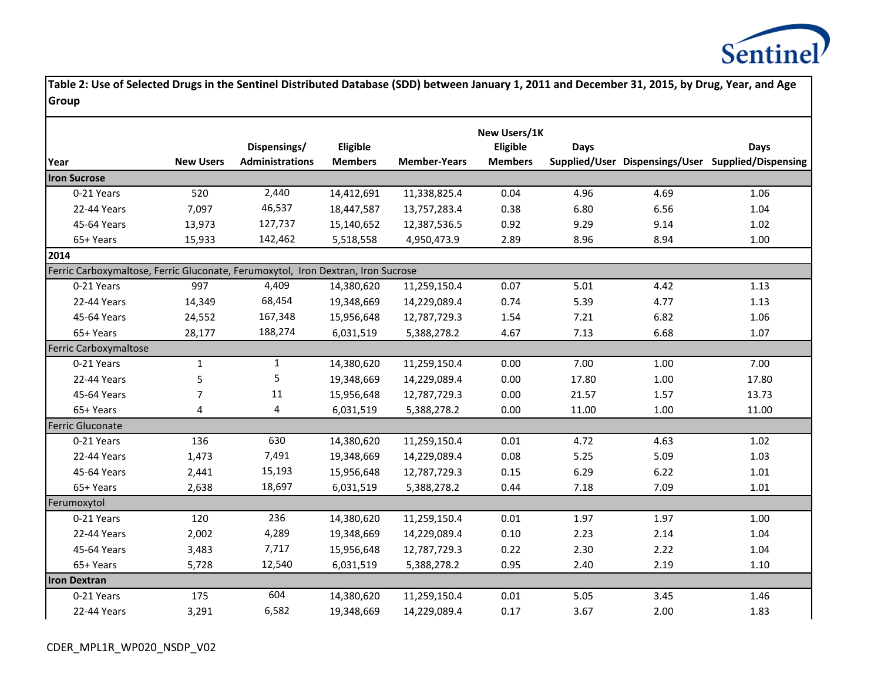

| Year                                                                             | <b>New Users</b> | Dispensings/<br><b>Administrations</b> | Eligible<br><b>Members</b> | <b>Member-Years</b> | New Users/1K<br>Eligible<br><b>Members</b> | Days  |      | Days<br>Supplied/User Dispensings/User Supplied/Dispensing |
|----------------------------------------------------------------------------------|------------------|----------------------------------------|----------------------------|---------------------|--------------------------------------------|-------|------|------------------------------------------------------------|
| <b>Iron Sucrose</b>                                                              |                  |                                        |                            |                     |                                            |       |      |                                                            |
| 0-21 Years                                                                       | 520              | 2,440                                  | 14,412,691                 | 11,338,825.4        | 0.04                                       | 4.96  | 4.69 | 1.06                                                       |
| 22-44 Years                                                                      | 7,097            | 46,537                                 | 18,447,587                 | 13,757,283.4        | 0.38                                       | 6.80  | 6.56 | 1.04                                                       |
| 45-64 Years                                                                      | 13,973           | 127,737                                | 15,140,652                 | 12,387,536.5        | 0.92                                       | 9.29  | 9.14 | 1.02                                                       |
| 65+ Years                                                                        | 15,933           | 142,462                                | 5,518,558                  | 4,950,473.9         | 2.89                                       | 8.96  | 8.94 | 1.00                                                       |
| 2014                                                                             |                  |                                        |                            |                     |                                            |       |      |                                                            |
| Ferric Carboxymaltose, Ferric Gluconate, Ferumoxytol, Iron Dextran, Iron Sucrose |                  |                                        |                            |                     |                                            |       |      |                                                            |
| 0-21 Years                                                                       | 997              | 4,409                                  | 14,380,620                 | 11,259,150.4        | 0.07                                       | 5.01  | 4.42 | 1.13                                                       |
| 22-44 Years                                                                      | 14,349           | 68,454                                 | 19,348,669                 | 14,229,089.4        | 0.74                                       | 5.39  | 4.77 | 1.13                                                       |
| 45-64 Years                                                                      | 24,552           | 167,348                                | 15,956,648                 | 12,787,729.3        | 1.54                                       | 7.21  | 6.82 | 1.06                                                       |
| 65+ Years                                                                        | 28,177           | 188,274                                | 6,031,519                  | 5,388,278.2         | 4.67                                       | 7.13  | 6.68 | 1.07                                                       |
| Ferric Carboxymaltose                                                            |                  |                                        |                            |                     |                                            |       |      |                                                            |
| 0-21 Years                                                                       | $\mathbf{1}$     | $\mathbf{1}$                           | 14,380,620                 | 11,259,150.4        | 0.00                                       | 7.00  | 1.00 | 7.00                                                       |
| 22-44 Years                                                                      | 5                | 5                                      | 19,348,669                 | 14,229,089.4        | 0.00                                       | 17.80 | 1.00 | 17.80                                                      |
| 45-64 Years                                                                      | $\overline{7}$   | 11                                     | 15,956,648                 | 12,787,729.3        | 0.00                                       | 21.57 | 1.57 | 13.73                                                      |
| 65+ Years                                                                        | 4                | 4                                      | 6,031,519                  | 5,388,278.2         | 0.00                                       | 11.00 | 1.00 | 11.00                                                      |
| Ferric Gluconate                                                                 |                  |                                        |                            |                     |                                            |       |      |                                                            |
| 0-21 Years                                                                       | 136              | 630                                    | 14,380,620                 | 11,259,150.4        | 0.01                                       | 4.72  | 4.63 | 1.02                                                       |
| 22-44 Years                                                                      | 1,473            | 7,491                                  | 19,348,669                 | 14,229,089.4        | 0.08                                       | 5.25  | 5.09 | 1.03                                                       |
| 45-64 Years                                                                      | 2,441            | 15,193                                 | 15,956,648                 | 12,787,729.3        | 0.15                                       | 6.29  | 6.22 | 1.01                                                       |
| 65+ Years                                                                        | 2,638            | 18,697                                 | 6,031,519                  | 5,388,278.2         | 0.44                                       | 7.18  | 7.09 | 1.01                                                       |
| Ferumoxytol                                                                      |                  |                                        |                            |                     |                                            |       |      |                                                            |
| 0-21 Years                                                                       | 120              | 236                                    | 14,380,620                 | 11,259,150.4        | 0.01                                       | 1.97  | 1.97 | 1.00                                                       |
| 22-44 Years                                                                      | 2,002            | 4,289                                  | 19,348,669                 | 14,229,089.4        | 0.10                                       | 2.23  | 2.14 | 1.04                                                       |
| 45-64 Years                                                                      | 3,483            | 7,717                                  | 15,956,648                 | 12,787,729.3        | 0.22                                       | 2.30  | 2.22 | 1.04                                                       |
| 65+ Years                                                                        | 5,728            | 12,540                                 | 6,031,519                  | 5,388,278.2         | 0.95                                       | 2.40  | 2.19 | 1.10                                                       |
| <b>Iron Dextran</b>                                                              |                  |                                        |                            |                     |                                            |       |      |                                                            |
| 0-21 Years                                                                       | 175              | 604                                    | 14,380,620                 | 11,259,150.4        | 0.01                                       | 5.05  | 3.45 | 1.46                                                       |
| 22-44 Years                                                                      | 3,291            | 6,582                                  | 19,348,669                 | 14,229,089.4        | 0.17                                       | 3.67  | 2.00 | 1.83                                                       |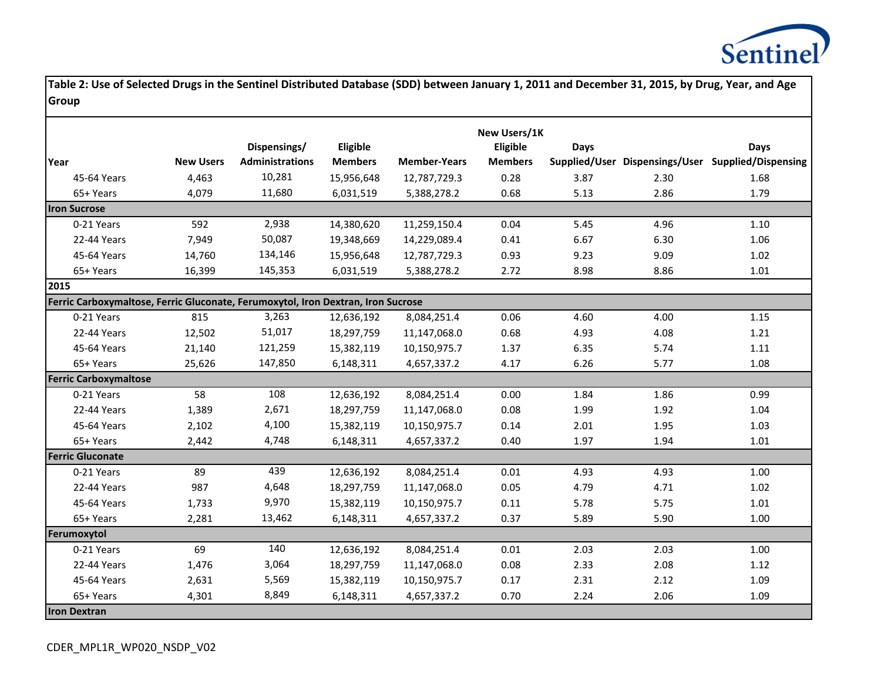

|                                                                                  |                  |                        |                |                     | New Users/1K   |             |      |                                                    |
|----------------------------------------------------------------------------------|------------------|------------------------|----------------|---------------------|----------------|-------------|------|----------------------------------------------------|
|                                                                                  |                  | Dispensings/           | Eligible       |                     | Eligible       | <b>Days</b> |      | Days                                               |
| lYear                                                                            | <b>New Users</b> | <b>Administrations</b> | <b>Members</b> | <b>Member-Years</b> | <b>Members</b> |             |      | Supplied/User Dispensings/User Supplied/Dispensing |
| 45-64 Years                                                                      | 4,463            | 10,281                 | 15,956,648     | 12,787,729.3        | 0.28           | 3.87        | 2.30 | 1.68                                               |
| 65+ Years                                                                        | 4,079            | 11,680                 | 6,031,519      | 5,388,278.2         | 0.68           | 5.13        | 2.86 | 1.79                                               |
| <b>Iron Sucrose</b>                                                              |                  |                        |                |                     |                |             |      |                                                    |
| 0-21 Years                                                                       | 592              | 2,938                  | 14,380,620     | 11,259,150.4        | 0.04           | 5.45        | 4.96 | 1.10                                               |
| 22-44 Years                                                                      | 7,949            | 50,087                 | 19,348,669     | 14,229,089.4        | 0.41           | 6.67        | 6.30 | 1.06                                               |
| 45-64 Years                                                                      | 14,760           | 134,146                | 15,956,648     | 12,787,729.3        | 0.93           | 9.23        | 9.09 | 1.02                                               |
| 65+ Years                                                                        | 16,399           | 145,353                | 6,031,519      | 5,388,278.2         | 2.72           | 8.98        | 8.86 | 1.01                                               |
| 2015                                                                             |                  |                        |                |                     |                |             |      |                                                    |
| Ferric Carboxymaltose, Ferric Gluconate, Ferumoxytol, Iron Dextran, Iron Sucrose |                  |                        |                |                     |                |             |      |                                                    |
| 0-21 Years                                                                       | 815              | 3,263                  | 12,636,192     | 8,084,251.4         | 0.06           | 4.60        | 4.00 | 1.15                                               |
| 22-44 Years                                                                      | 12,502           | 51,017                 | 18,297,759     | 11,147,068.0        | 0.68           | 4.93        | 4.08 | 1.21                                               |
| 45-64 Years                                                                      | 21,140           | 121,259                | 15,382,119     | 10,150,975.7        | 1.37           | 6.35        | 5.74 | 1.11                                               |
| 65+ Years                                                                        | 25,626           | 147,850                | 6,148,311      | 4,657,337.2         | 4.17           | 6.26        | 5.77 | 1.08                                               |
| <b>Ferric Carboxymaltose</b>                                                     |                  |                        |                |                     |                |             |      |                                                    |
| 0-21 Years                                                                       | 58               | 108                    | 12,636,192     | 8,084,251.4         | 0.00           | 1.84        | 1.86 | 0.99                                               |
| 22-44 Years                                                                      | 1,389            | 2,671                  | 18,297,759     | 11,147,068.0        | 0.08           | 1.99        | 1.92 | 1.04                                               |
| 45-64 Years                                                                      | 2,102            | 4,100                  | 15,382,119     | 10,150,975.7        | 0.14           | 2.01        | 1.95 | 1.03                                               |
| 65+ Years                                                                        | 2,442            | 4,748                  | 6,148,311      | 4,657,337.2         | 0.40           | 1.97        | 1.94 | 1.01                                               |
| <b>Ferric Gluconate</b>                                                          |                  |                        |                |                     |                |             |      |                                                    |
| 0-21 Years                                                                       | 89               | 439                    | 12,636,192     | 8,084,251.4         | 0.01           | 4.93        | 4.93 | 1.00                                               |
| 22-44 Years                                                                      | 987              | 4,648                  | 18,297,759     | 11,147,068.0        | 0.05           | 4.79        | 4.71 | 1.02                                               |
| 45-64 Years                                                                      | 1,733            | 9,970                  | 15,382,119     | 10,150,975.7        | 0.11           | 5.78        | 5.75 | 1.01                                               |
| 65+ Years                                                                        | 2,281            | 13,462                 | 6,148,311      | 4,657,337.2         | 0.37           | 5.89        | 5.90 | 1.00                                               |
| Ferumoxytol                                                                      |                  |                        |                |                     |                |             |      |                                                    |
| 0-21 Years                                                                       | 69               | 140                    | 12,636,192     | 8,084,251.4         | 0.01           | 2.03        | 2.03 | 1.00                                               |
| 22-44 Years                                                                      | 1,476            | 3,064                  | 18,297,759     | 11,147,068.0        | 0.08           | 2.33        | 2.08 | 1.12                                               |
| 45-64 Years                                                                      | 2,631            | 5,569                  | 15,382,119     | 10,150,975.7        | 0.17           | 2.31        | 2.12 | 1.09                                               |
| 65+ Years                                                                        | 4,301            | 8,849                  | 6,148,311      | 4,657,337.2         | 0.70           | 2.24        | 2.06 | 1.09                                               |
| <b>Iron Dextran</b>                                                              |                  |                        |                |                     |                |             |      |                                                    |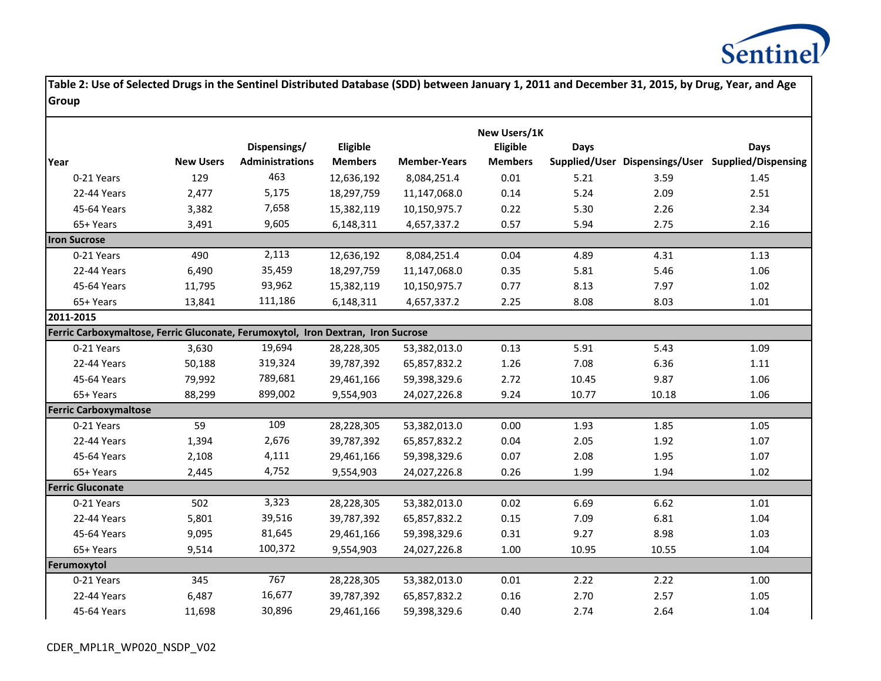

|                                                                                  |                  |                        |                |                     | New Users/1K   |       |       |                                                    |
|----------------------------------------------------------------------------------|------------------|------------------------|----------------|---------------------|----------------|-------|-------|----------------------------------------------------|
|                                                                                  |                  | Dispensings/           | Eligible       |                     | Eligible       | Days  |       | Days                                               |
| Year                                                                             | <b>New Users</b> | <b>Administrations</b> | <b>Members</b> | <b>Member-Years</b> | <b>Members</b> |       |       | Supplied/User Dispensings/User Supplied/Dispensing |
| 0-21 Years                                                                       | 129              | 463                    | 12,636,192     | 8,084,251.4         | 0.01           | 5.21  | 3.59  | 1.45                                               |
| 22-44 Years                                                                      | 2,477            | 5,175                  | 18,297,759     | 11,147,068.0        | 0.14           | 5.24  | 2.09  | 2.51                                               |
| 45-64 Years                                                                      | 3,382            | 7,658                  | 15,382,119     | 10,150,975.7        | 0.22           | 5.30  | 2.26  | 2.34                                               |
| 65+ Years                                                                        | 3,491            | 9,605                  | 6,148,311      | 4,657,337.2         | 0.57           | 5.94  | 2.75  | 2.16                                               |
| <b>Iron Sucrose</b>                                                              |                  |                        |                |                     |                |       |       |                                                    |
| 0-21 Years                                                                       | 490              | 2,113                  | 12,636,192     | 8,084,251.4         | 0.04           | 4.89  | 4.31  | 1.13                                               |
| 22-44 Years                                                                      | 6,490            | 35,459                 | 18,297,759     | 11,147,068.0        | 0.35           | 5.81  | 5.46  | 1.06                                               |
| 45-64 Years                                                                      | 11,795           | 93,962                 | 15,382,119     | 10,150,975.7        | 0.77           | 8.13  | 7.97  | 1.02                                               |
| 65+ Years                                                                        | 13,841           | 111,186                | 6,148,311      | 4,657,337.2         | 2.25           | 8.08  | 8.03  | 1.01                                               |
| 2011-2015                                                                        |                  |                        |                |                     |                |       |       |                                                    |
| Ferric Carboxymaltose, Ferric Gluconate, Ferumoxytol, Iron Dextran, Iron Sucrose |                  |                        |                |                     |                |       |       |                                                    |
| 0-21 Years                                                                       | 3,630            | 19,694                 | 28,228,305     | 53,382,013.0        | 0.13           | 5.91  | 5.43  | 1.09                                               |
| 22-44 Years                                                                      | 50,188           | 319,324                | 39,787,392     | 65,857,832.2        | 1.26           | 7.08  | 6.36  | 1.11                                               |
| 45-64 Years                                                                      | 79,992           | 789,681                | 29,461,166     | 59,398,329.6        | 2.72           | 10.45 | 9.87  | 1.06                                               |
| 65+ Years                                                                        | 88,299           | 899,002                | 9,554,903      | 24,027,226.8        | 9.24           | 10.77 | 10.18 | 1.06                                               |
| <b>Ferric Carboxymaltose</b>                                                     |                  |                        |                |                     |                |       |       |                                                    |
| 0-21 Years                                                                       | 59               | 109                    | 28,228,305     | 53,382,013.0        | 0.00           | 1.93  | 1.85  | 1.05                                               |
| 22-44 Years                                                                      | 1,394            | 2,676                  | 39,787,392     | 65,857,832.2        | 0.04           | 2.05  | 1.92  | 1.07                                               |
| 45-64 Years                                                                      | 2,108            | 4,111                  | 29,461,166     | 59,398,329.6        | 0.07           | 2.08  | 1.95  | 1.07                                               |
| 65+ Years                                                                        | 2,445            | 4,752                  | 9,554,903      | 24,027,226.8        | 0.26           | 1.99  | 1.94  | 1.02                                               |
| <b>Ferric Gluconate</b>                                                          |                  |                        |                |                     |                |       |       |                                                    |
| 0-21 Years                                                                       | 502              | 3,323                  | 28,228,305     | 53,382,013.0        | 0.02           | 6.69  | 6.62  | 1.01                                               |
| 22-44 Years                                                                      | 5,801            | 39,516                 | 39,787,392     | 65,857,832.2        | 0.15           | 7.09  | 6.81  | 1.04                                               |
| 45-64 Years                                                                      | 9,095            | 81,645                 | 29,461,166     | 59,398,329.6        | 0.31           | 9.27  | 8.98  | 1.03                                               |
| 65+ Years                                                                        | 9,514            | 100,372                | 9,554,903      | 24,027,226.8        | 1.00           | 10.95 | 10.55 | 1.04                                               |
| Ferumoxytol                                                                      |                  |                        |                |                     |                |       |       |                                                    |
| 0-21 Years                                                                       | 345              | 767                    | 28,228,305     | 53,382,013.0        | 0.01           | 2.22  | 2.22  | 1.00                                               |
| 22-44 Years                                                                      | 6,487            | 16,677                 | 39,787,392     | 65,857,832.2        | 0.16           | 2.70  | 2.57  | 1.05                                               |
| 45-64 Years                                                                      | 11,698           | 30,896                 | 29,461,166     | 59,398,329.6        | 0.40           | 2.74  | 2.64  | 1.04                                               |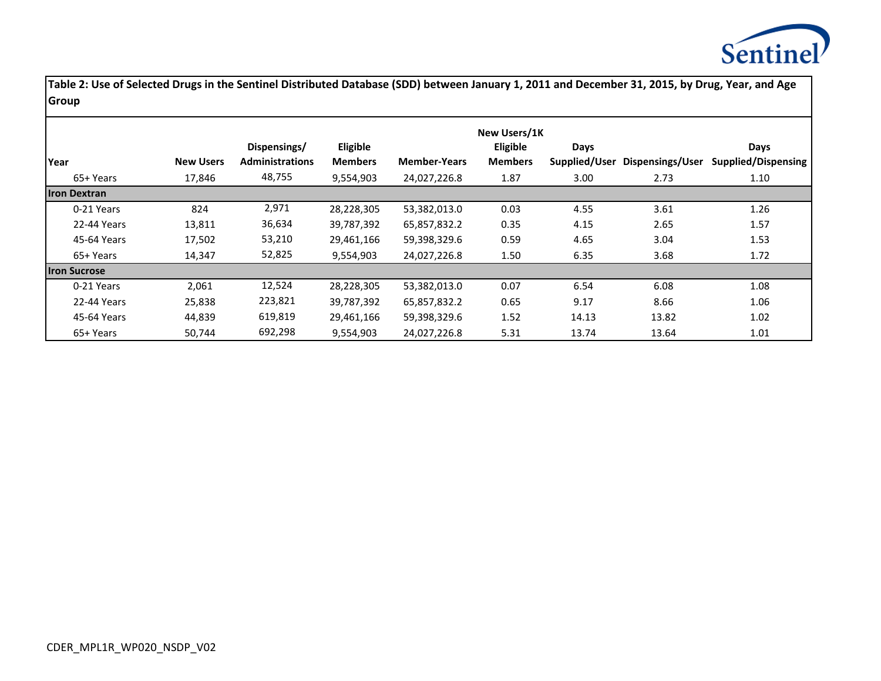

|                     |                  |                        |                |                     | New Users/1K   |               |                  |                            |
|---------------------|------------------|------------------------|----------------|---------------------|----------------|---------------|------------------|----------------------------|
|                     |                  | Dispensings/           | Eligible       |                     | Eligible       | Days          |                  | Days                       |
| Year                | <b>New Users</b> | <b>Administrations</b> | <b>Members</b> | <b>Member-Years</b> | <b>Members</b> | Supplied/User | Dispensings/User | <b>Supplied/Dispensing</b> |
| 65+ Years           | 17,846           | 48,755                 | 9,554,903      | 24,027,226.8        | 1.87           | 3.00          | 2.73             | 1.10                       |
| <b>Iron Dextran</b> |                  |                        |                |                     |                |               |                  |                            |
| 0-21 Years          | 824              | 2,971                  | 28,228,305     | 53,382,013.0        | 0.03           | 4.55          | 3.61             | 1.26                       |
| 22-44 Years         | 13,811           | 36,634                 | 39,787,392     | 65,857,832.2        | 0.35           | 4.15          | 2.65             | 1.57                       |
| 45-64 Years         | 17,502           | 53,210                 | 29,461,166     | 59,398,329.6        | 0.59           | 4.65          | 3.04             | 1.53                       |
| 65+ Years           | 14,347           | 52,825                 | 9,554,903      | 24,027,226.8        | 1.50           | 6.35          | 3.68             | 1.72                       |
| <b>Iron Sucrose</b> |                  |                        |                |                     |                |               |                  |                            |
| 0-21 Years          | 2,061            | 12,524                 | 28,228,305     | 53,382,013.0        | 0.07           | 6.54          | 6.08             | 1.08                       |
| 22-44 Years         | 25,838           | 223,821                | 39,787,392     | 65,857,832.2        | 0.65           | 9.17          | 8.66             | 1.06                       |
| 45-64 Years         | 44,839           | 619,819                | 29,461,166     | 59,398,329.6        | 1.52           | 14.13         | 13.82            | 1.02                       |
| 65+ Years           | 50.744           | 692,298                | 9,554,903      | 24,027,226.8        | 5.31           | 13.74         | 13.64            | 1.01                       |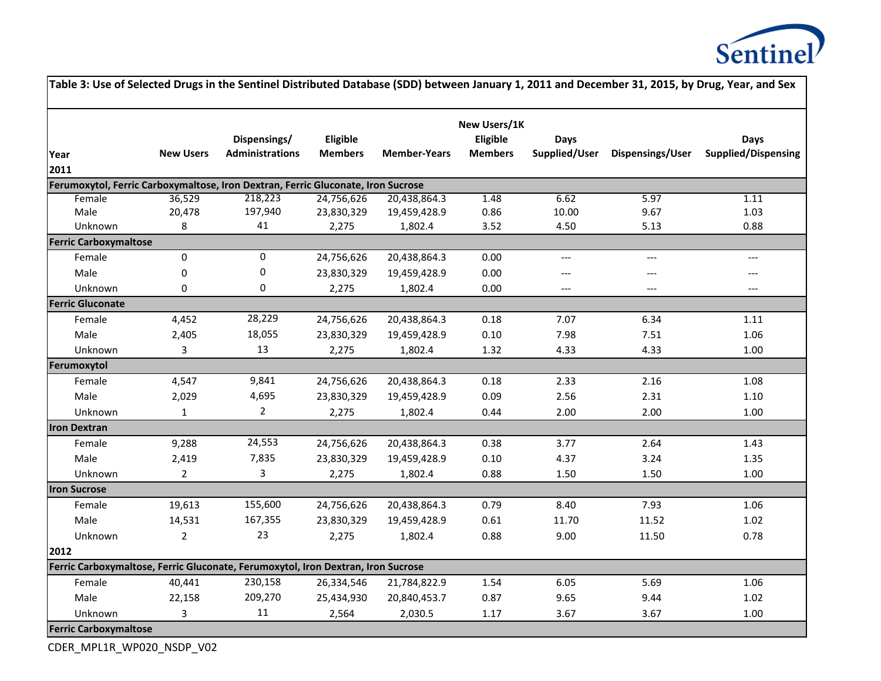

|                              |                  |                                                                                  |                |                     | New Users/1K   |               |                         |                            |
|------------------------------|------------------|----------------------------------------------------------------------------------|----------------|---------------------|----------------|---------------|-------------------------|----------------------------|
|                              |                  | Dispensings/                                                                     | Eligible       |                     | Eligible       | <b>Days</b>   |                         | <b>Days</b>                |
| Year                         | <b>New Users</b> | <b>Administrations</b>                                                           | <b>Members</b> | <b>Member-Years</b> | <b>Members</b> | Supplied/User | <b>Dispensings/User</b> | <b>Supplied/Dispensing</b> |
| 2011                         |                  |                                                                                  |                |                     |                |               |                         |                            |
|                              |                  | Ferumoxytol, Ferric Carboxymaltose, Iron Dextran, Ferric Gluconate, Iron Sucrose |                |                     |                |               |                         |                            |
| Female                       | 36,529           | 218,223                                                                          | 24,756,626     | 20,438,864.3        | 1.48           | 6.62          | 5.97                    | 1.11                       |
| Male                         | 20,478           | 197,940                                                                          | 23,830,329     | 19,459,428.9        | 0.86           | 10.00         | 9.67                    | 1.03                       |
| Unknown                      | 8                | 41                                                                               | 2,275          | 1,802.4             | 3.52           | 4.50          | 5.13                    | 0.88                       |
| <b>Ferric Carboxymaltose</b> |                  |                                                                                  |                |                     |                |               |                         |                            |
| Female                       | $\pmb{0}$        | 0                                                                                | 24,756,626     | 20,438,864.3        | 0.00           | $---$         | $---$                   | ---                        |
| Male                         | 0                | 0                                                                                | 23,830,329     | 19,459,428.9        | 0.00           | $---$         | $---$                   | $---$                      |
| Unknown                      | 0                | 0                                                                                | 2,275          | 1,802.4             | 0.00           | $---$         | $---$                   | $---$                      |
| <b>Ferric Gluconate</b>      |                  |                                                                                  |                |                     |                |               |                         |                            |
| Female                       | 4,452            | 28,229                                                                           | 24,756,626     | 20,438,864.3        | 0.18           | 7.07          | 6.34                    | 1.11                       |
| Male                         | 2,405            | 18,055                                                                           | 23,830,329     | 19,459,428.9        | 0.10           | 7.98          | 7.51                    | 1.06                       |
| Unknown                      | 3                | 13                                                                               | 2,275          | 1,802.4             | 1.32           | 4.33          | 4.33                    | 1.00                       |
| Ferumoxytol                  |                  |                                                                                  |                |                     |                |               |                         |                            |
| Female                       | 4,547            | 9,841                                                                            | 24,756,626     | 20,438,864.3        | 0.18           | 2.33          | 2.16                    | 1.08                       |
| Male                         | 2,029            | 4,695                                                                            | 23,830,329     | 19,459,428.9        | 0.09           | 2.56          | 2.31                    | $1.10\,$                   |
| Unknown                      | $\mathbf{1}$     | $\overline{2}$                                                                   | 2,275          | 1,802.4             | 0.44           | 2.00          | 2.00                    | 1.00                       |
| <b>Iron Dextran</b>          |                  |                                                                                  |                |                     |                |               |                         |                            |
| Female                       | 9,288            | 24,553                                                                           | 24,756,626     | 20,438,864.3        | 0.38           | 3.77          | 2.64                    | 1.43                       |
| Male                         | 2,419            | 7,835                                                                            | 23,830,329     | 19,459,428.9        | 0.10           | 4.37          | 3.24                    | 1.35                       |
| Unknown                      | $\mathbf{2}$     | 3                                                                                | 2,275          | 1,802.4             | 0.88           | 1.50          | 1.50                    | $1.00\,$                   |
| <b>Iron Sucrose</b>          |                  |                                                                                  |                |                     |                |               |                         |                            |
| Female                       | 19,613           | 155,600                                                                          | 24,756,626     | 20,438,864.3        | 0.79           | 8.40          | 7.93                    | 1.06                       |
| Male                         | 14,531           | 167,355                                                                          | 23,830,329     | 19,459,428.9        | 0.61           | 11.70         | 11.52                   | $1.02\,$                   |
| Unknown                      | $\overline{2}$   | 23                                                                               | 2,275          | 1,802.4             | 0.88           | 9.00          | 11.50                   | 0.78                       |
| 2012                         |                  |                                                                                  |                |                     |                |               |                         |                            |
|                              |                  | Ferric Carboxymaltose, Ferric Gluconate, Ferumoxytol, Iron Dextran, Iron Sucrose |                |                     |                |               |                         |                            |
| Female                       | 40,441           | 230,158                                                                          | 26,334,546     | 21,784,822.9        | 1.54           | 6.05          | 5.69                    | 1.06                       |
| Male                         | 22,158           | 209,270                                                                          | 25,434,930     | 20,840,453.7        | 0.87           | 9.65          | 9.44                    | $1.02\,$                   |
| Unknown                      | 3                | 11                                                                               | 2,564          | 2,030.5             | 1.17           | 3.67          | 3.67                    | $1.00\,$                   |

CDER\_MPL1R\_WP020\_NSDP\_V02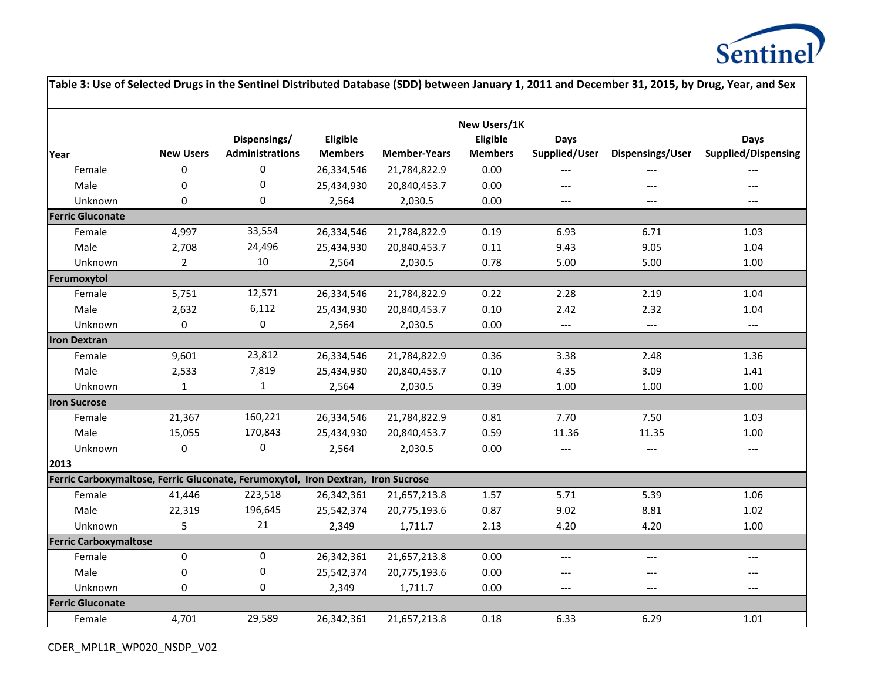

|                                                                                  |                  |                        |                |                     |                          |                                          |                                   | Table 3: Use of Selected Drugs in the Sentinel Distributed Database (SDD) between January 1, 2011 and December 31, 2015, by Drug, Year, and Sex |
|----------------------------------------------------------------------------------|------------------|------------------------|----------------|---------------------|--------------------------|------------------------------------------|-----------------------------------|-------------------------------------------------------------------------------------------------------------------------------------------------|
|                                                                                  |                  | Dispensings/           | Eligible       |                     | New Users/1K<br>Eligible | Days                                     |                                   | Days                                                                                                                                            |
| Year                                                                             | <b>New Users</b> | <b>Administrations</b> | <b>Members</b> | <b>Member-Years</b> | <b>Members</b>           | Supplied/User                            | Dispensings/User                  | <b>Supplied/Dispensing</b>                                                                                                                      |
| Female                                                                           | $\pmb{0}$        | $\pmb{0}$              | 26,334,546     | 21,784,822.9        | 0.00                     | ---                                      | $---$                             |                                                                                                                                                 |
| Male                                                                             | 0                | 0                      | 25,434,930     | 20,840,453.7        | 0.00                     | ---                                      |                                   |                                                                                                                                                 |
| Unknown                                                                          | 0                | 0                      | 2,564          | 2,030.5             | 0.00                     | $---$                                    | $---$                             | $---$                                                                                                                                           |
| <b>Ferric Gluconate</b>                                                          |                  |                        |                |                     |                          |                                          |                                   |                                                                                                                                                 |
| Female                                                                           | 4,997            | 33,554                 | 26,334,546     | 21,784,822.9        | 0.19                     | 6.93                                     | 6.71                              | 1.03                                                                                                                                            |
| Male                                                                             | 2,708            | 24,496                 | 25,434,930     | 20,840,453.7        | 0.11                     | 9.43                                     | 9.05                              | 1.04                                                                                                                                            |
| Unknown                                                                          | $\overline{2}$   | 10                     | 2,564          | 2,030.5             | 0.78                     | 5.00                                     | 5.00                              | 1.00                                                                                                                                            |
| Ferumoxytol                                                                      |                  |                        |                |                     |                          |                                          |                                   |                                                                                                                                                 |
| Female                                                                           | 5,751            | 12,571                 | 26,334,546     | 21,784,822.9        | 0.22                     | 2.28                                     | 2.19                              | 1.04                                                                                                                                            |
| Male                                                                             | 2,632            | 6,112                  | 25,434,930     | 20,840,453.7        | 0.10                     | 2.42                                     | 2.32                              | 1.04                                                                                                                                            |
| Unknown                                                                          | $\pmb{0}$        | $\pmb{0}$              | 2,564          | 2,030.5             | 0.00                     | $\hspace{0.05cm} \ldots \hspace{0.05cm}$ | $\hspace{0.05cm} \dashrightarrow$ | $\qquad \qquad - -$                                                                                                                             |
| <b>Iron Dextran</b>                                                              |                  |                        |                |                     |                          |                                          |                                   |                                                                                                                                                 |
| Female                                                                           | 9,601            | 23,812                 | 26,334,546     | 21,784,822.9        | 0.36                     | 3.38                                     | 2.48                              | 1.36                                                                                                                                            |
| Male                                                                             | 2,533            | 7,819                  | 25,434,930     | 20,840,453.7        | 0.10                     | 4.35                                     | 3.09                              | 1.41                                                                                                                                            |
| Unknown                                                                          | $\mathbf{1}$     | $\mathbf{1}$           | 2,564          | 2,030.5             | 0.39                     | $1.00\,$                                 | 1.00                              | 1.00                                                                                                                                            |
| <b>Iron Sucrose</b>                                                              |                  |                        |                |                     |                          |                                          |                                   |                                                                                                                                                 |
| Female                                                                           | 21,367           | 160,221                | 26,334,546     | 21,784,822.9        | 0.81                     | 7.70                                     | 7.50                              | 1.03                                                                                                                                            |
| Male                                                                             | 15,055           | 170,843                | 25,434,930     | 20,840,453.7        | 0.59                     | 11.36                                    | 11.35                             | 1.00                                                                                                                                            |
| Unknown                                                                          | $\pmb{0}$        | $\pmb{0}$              | 2,564          | 2,030.5             | 0.00                     | $---$                                    | $\hspace{0.05cm} \ldots$          | $\qquad \qquad - -$                                                                                                                             |
| 2013                                                                             |                  |                        |                |                     |                          |                                          |                                   |                                                                                                                                                 |
| Ferric Carboxymaltose, Ferric Gluconate, Ferumoxytol, Iron Dextran, Iron Sucrose |                  |                        |                |                     |                          |                                          |                                   |                                                                                                                                                 |
| Female                                                                           | 41,446           | 223,518                | 26,342,361     | 21,657,213.8        | 1.57                     | 5.71                                     | 5.39                              | 1.06                                                                                                                                            |
| Male                                                                             | 22,319           | 196,645                | 25,542,374     | 20,775,193.6        | 0.87                     | 9.02                                     | 8.81                              | 1.02                                                                                                                                            |
| Unknown                                                                          | 5                | 21                     | 2,349          | 1,711.7             | 2.13                     | 4.20                                     | 4.20                              | 1.00                                                                                                                                            |
| <b>Ferric Carboxymaltose</b>                                                     |                  |                        |                |                     |                          |                                          |                                   |                                                                                                                                                 |
| Female                                                                           | 0                | 0                      | 26,342,361     | 21,657,213.8        | 0.00                     | $---$                                    | $---$                             | $---$                                                                                                                                           |
| Male                                                                             | 0                | 0                      | 25,542,374     | 20,775,193.6        | 0.00                     | ---                                      | $---$                             | $---$                                                                                                                                           |
| Unknown                                                                          | $\mathbf 0$      | 0                      | 2,349          | 1,711.7             | 0.00                     | ---                                      | $---$                             | $\qquad \qquad - -$                                                                                                                             |
| <b>Ferric Gluconate</b>                                                          |                  |                        |                |                     |                          |                                          |                                   |                                                                                                                                                 |
| Female                                                                           | 4,701            | 29,589                 | 26,342,361     | 21,657,213.8        | 0.18                     | 6.33                                     | 6.29                              | $1.01\,$                                                                                                                                        |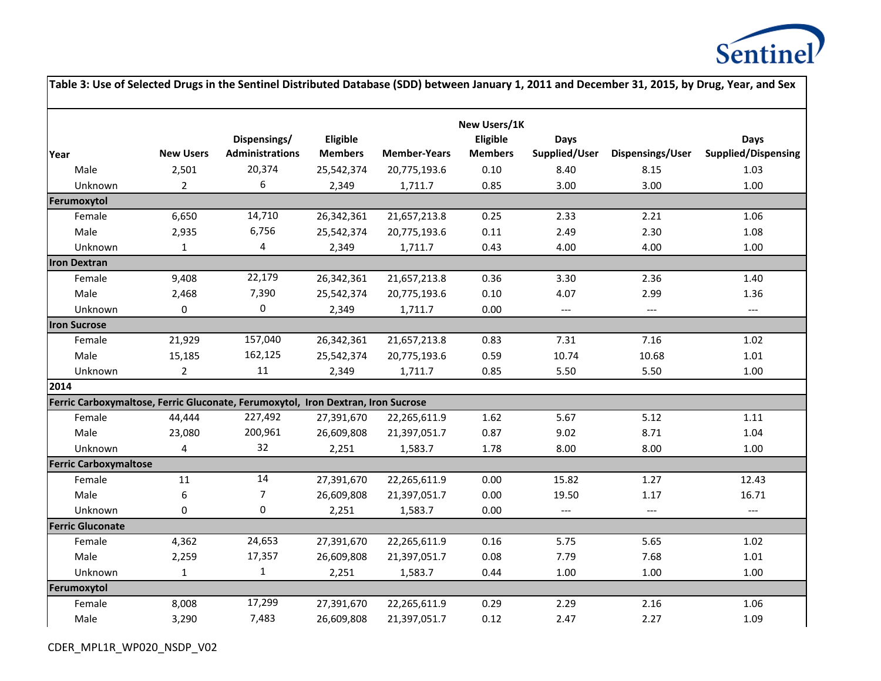

| Table 3: Use of Selected Drugs in the Sentinel Distributed Database (SDD) between January 1, 2011 and December 31, 2015, by Drug, Year, and Sex |                  |                        |                |                     |                          |                          |                          |                            |
|-------------------------------------------------------------------------------------------------------------------------------------------------|------------------|------------------------|----------------|---------------------|--------------------------|--------------------------|--------------------------|----------------------------|
|                                                                                                                                                 |                  | Dispensings/           | Eligible       |                     | New Users/1K<br>Eligible | <b>Days</b>              |                          | <b>Days</b>                |
| Year                                                                                                                                            | <b>New Users</b> | <b>Administrations</b> | <b>Members</b> | <b>Member-Years</b> | <b>Members</b>           | Supplied/User            | Dispensings/User         | <b>Supplied/Dispensing</b> |
| Male                                                                                                                                            | 2,501            | 20,374                 | 25,542,374     | 20,775,193.6        | 0.10                     | 8.40                     | 8.15                     | 1.03                       |
| Unknown                                                                                                                                         | $\overline{2}$   | 6                      | 2,349          | 1,711.7             | 0.85                     | 3.00                     | 3.00                     | 1.00                       |
| Ferumoxytol                                                                                                                                     |                  |                        |                |                     |                          |                          |                          |                            |
| Female                                                                                                                                          | 6,650            | 14,710                 | 26,342,361     | 21,657,213.8        | 0.25                     | 2.33                     | 2.21                     | 1.06                       |
| Male                                                                                                                                            | 2,935            | 6,756                  | 25,542,374     | 20,775,193.6        | 0.11                     | 2.49                     | 2.30                     | 1.08                       |
| Unknown                                                                                                                                         | $\mathbf{1}$     | 4                      | 2,349          | 1,711.7             | 0.43                     | 4.00                     | 4.00                     | 1.00                       |
| <b>Iron Dextran</b>                                                                                                                             |                  |                        |                |                     |                          |                          |                          |                            |
| Female                                                                                                                                          | 9,408            | 22,179                 | 26,342,361     | 21,657,213.8        | 0.36                     | 3.30                     | 2.36                     | 1.40                       |
| Male                                                                                                                                            | 2,468            | 7,390                  | 25,542,374     | 20,775,193.6        | 0.10                     | 4.07                     | 2.99                     | 1.36                       |
| Unknown                                                                                                                                         | $\pmb{0}$        | 0                      | 2,349          | 1,711.7             | 0.00                     | $\overline{\phantom{a}}$ | $\overline{\phantom{a}}$ | $\overline{\phantom{a}}$   |
| <b>Iron Sucrose</b>                                                                                                                             |                  |                        |                |                     |                          |                          |                          |                            |
| Female                                                                                                                                          | 21,929           | 157,040                | 26,342,361     | 21,657,213.8        | 0.83                     | 7.31                     | 7.16                     | 1.02                       |
| Male                                                                                                                                            | 15,185           | 162,125                | 25,542,374     | 20,775,193.6        | 0.59                     | 10.74                    | 10.68                    | $1.01\,$                   |
| Unknown                                                                                                                                         | $\overline{2}$   | $11\,$                 | 2,349          | 1,711.7             | 0.85                     | 5.50                     | 5.50                     | $1.00\,$                   |
| 2014                                                                                                                                            |                  |                        |                |                     |                          |                          |                          |                            |
| Ferric Carboxymaltose, Ferric Gluconate, Ferumoxytol, Iron Dextran, Iron Sucrose                                                                |                  |                        |                |                     |                          |                          |                          |                            |
| Female                                                                                                                                          | 44,444           | 227,492                | 27,391,670     | 22,265,611.9        | 1.62                     | 5.67                     | 5.12                     | $1.11\,$                   |
| Male                                                                                                                                            | 23,080           | 200,961                | 26,609,808     | 21,397,051.7        | 0.87                     | 9.02                     | 8.71                     | 1.04                       |
| Unknown                                                                                                                                         | 4                | 32                     | 2,251          | 1,583.7             | 1.78                     | 8.00                     | 8.00                     | 1.00                       |
| <b>Ferric Carboxymaltose</b>                                                                                                                    |                  |                        |                |                     |                          |                          |                          |                            |
| Female                                                                                                                                          | 11               | 14                     | 27,391,670     | 22,265,611.9        | 0.00                     | 15.82                    | 1.27                     | 12.43                      |
| Male                                                                                                                                            | 6                | 7                      | 26,609,808     | 21,397,051.7        | 0.00                     | 19.50                    | 1.17                     | 16.71                      |
| Unknown                                                                                                                                         | $\mathbf 0$      | 0                      | 2,251          | 1,583.7             | 0.00                     | $---$                    | $---$                    | ---                        |
| <b>Ferric Gluconate</b>                                                                                                                         |                  |                        |                |                     |                          |                          |                          |                            |
| Female                                                                                                                                          | 4,362            | 24,653                 | 27,391,670     | 22,265,611.9        | 0.16                     | 5.75                     | 5.65                     | 1.02                       |
| Male                                                                                                                                            | 2,259            | 17,357                 | 26,609,808     | 21,397,051.7        | 0.08                     | 7.79                     | 7.68                     | 1.01                       |
| Unknown                                                                                                                                         | $\mathbf{1}$     | $\mathbf{1}$           | 2,251          | 1,583.7             | 0.44                     | 1.00                     | 1.00                     | $1.00\,$                   |
| Ferumoxytol                                                                                                                                     |                  |                        |                |                     |                          |                          |                          |                            |
| Female                                                                                                                                          | 8,008            | 17,299                 | 27,391,670     | 22,265,611.9        | 0.29                     | 2.29                     | 2.16                     | 1.06                       |
| Male                                                                                                                                            | 3,290            | 7,483                  | 26,609,808     | 21,397,051.7        | 0.12                     | 2.47                     | 2.27                     | 1.09                       |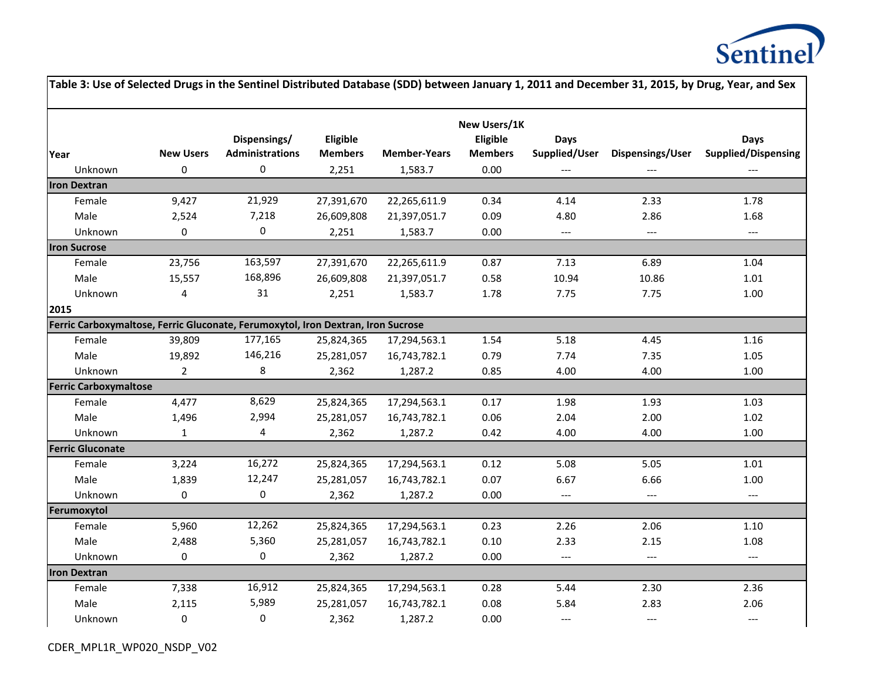

| Table 3: Use of Selected Drugs in the Sentinel Distributed Database (SDD) between January 1, 2011 and December 31, 2015, by Drug, Year, and Sex |                  |                         |                |                     |                 |                          |                                     |                                   |
|-------------------------------------------------------------------------------------------------------------------------------------------------|------------------|-------------------------|----------------|---------------------|-----------------|--------------------------|-------------------------------------|-----------------------------------|
|                                                                                                                                                 |                  |                         |                |                     | New Users/1K    |                          |                                     |                                   |
|                                                                                                                                                 |                  | Dispensings/            | Eligible       |                     | <b>Eligible</b> | <b>Days</b>              |                                     | <b>Days</b>                       |
| Year                                                                                                                                            | <b>New Users</b> | <b>Administrations</b>  | <b>Members</b> | <b>Member-Years</b> | <b>Members</b>  | Supplied/User            | Dispensings/User                    | <b>Supplied/Dispensing</b>        |
| Unknown                                                                                                                                         | 0                | $\pmb{0}$               | 2,251          | 1,583.7             | 0.00            | $---$                    | $---$                               |                                   |
| <b>Iron Dextran</b>                                                                                                                             |                  |                         |                |                     |                 |                          |                                     |                                   |
| Female                                                                                                                                          | 9,427            | 21,929                  | 27,391,670     | 22,265,611.9        | 0.34            | 4.14                     | 2.33                                | 1.78                              |
| Male                                                                                                                                            | 2,524            | 7,218                   | 26,609,808     | 21,397,051.7        | 0.09            | 4.80                     | 2.86                                | 1.68                              |
| Unknown                                                                                                                                         | $\mathbf 0$      | 0                       | 2,251          | 1,583.7             | 0.00            | $\hspace{0.05cm} \ldots$ | $---$                               | $\hspace{0.05cm} \dashrightarrow$ |
| <b>Iron Sucrose</b>                                                                                                                             |                  |                         |                |                     |                 |                          |                                     |                                   |
| Female                                                                                                                                          | 23,756           | 163,597                 | 27,391,670     | 22,265,611.9        | 0.87            | 7.13                     | 6.89                                | 1.04                              |
| Male                                                                                                                                            | 15,557           | 168,896                 | 26,609,808     | 21,397,051.7        | 0.58            | 10.94                    | 10.86                               | 1.01                              |
| Unknown                                                                                                                                         | 4                | 31                      | 2,251          | 1,583.7             | 1.78            | 7.75                     | 7.75                                | $1.00\,$                          |
| 2015                                                                                                                                            |                  |                         |                |                     |                 |                          |                                     |                                   |
| Ferric Carboxymaltose, Ferric Gluconate, Ferumoxytol, Iron Dextran, Iron Sucrose                                                                |                  |                         |                |                     |                 |                          |                                     |                                   |
| Female                                                                                                                                          | 39,809           | 177,165                 | 25,824,365     | 17,294,563.1        | 1.54            | 5.18                     | 4.45                                | 1.16                              |
| Male                                                                                                                                            | 19,892           | 146,216                 | 25,281,057     | 16,743,782.1        | 0.79            | 7.74                     | 7.35                                | 1.05                              |
| Unknown                                                                                                                                         | $\overline{2}$   | 8                       | 2,362          | 1,287.2             | 0.85            | 4.00                     | 4.00                                | 1.00                              |
| <b>Ferric Carboxymaltose</b>                                                                                                                    |                  |                         |                |                     |                 |                          |                                     |                                   |
| Female                                                                                                                                          | 4,477            | 8,629                   | 25,824,365     | 17,294,563.1        | 0.17            | 1.98                     | 1.93                                | 1.03                              |
| Male                                                                                                                                            | 1,496            | 2,994                   | 25,281,057     | 16,743,782.1        | 0.06            | 2.04                     | 2.00                                | 1.02                              |
| Unknown                                                                                                                                         | $1\,$            | $\overline{\mathbf{4}}$ | 2,362          | 1,287.2             | 0.42            | 4.00                     | 4.00                                | $1.00\,$                          |
| <b>Ferric Gluconate</b>                                                                                                                         |                  |                         |                |                     |                 |                          |                                     |                                   |
| Female                                                                                                                                          | 3,224            | 16,272                  | 25,824,365     | 17,294,563.1        | 0.12            | 5.08                     | 5.05                                | 1.01                              |
| Male                                                                                                                                            | 1,839            | 12,247                  | 25,281,057     | 16,743,782.1        | 0.07            | 6.67                     | 6.66                                | 1.00                              |
| Unknown                                                                                                                                         | 0                | 0                       | 2,362          | 1,287.2             | 0.00            | $\overline{\phantom{a}}$ | $\hspace{0.05cm}---\hspace{0.05cm}$ | $\hspace{0.05cm} \ldots$          |
| Ferumoxytol                                                                                                                                     |                  |                         |                |                     |                 |                          |                                     |                                   |
| Female                                                                                                                                          | 5,960            | 12,262                  | 25,824,365     | 17,294,563.1        | 0.23            | 2.26                     | 2.06                                | 1.10                              |
| Male                                                                                                                                            | 2,488            | 5,360                   | 25,281,057     | 16,743,782.1        | 0.10            | 2.33                     | 2.15                                | 1.08                              |
| Unknown                                                                                                                                         | $\mathbf 0$      | 0                       | 2,362          | 1,287.2             | 0.00            | $\overline{\phantom{a}}$ | $\overline{\phantom{a}}$            | $\hspace{0.05cm} \ldots$          |
| <b>Iron Dextran</b>                                                                                                                             |                  |                         |                |                     |                 |                          |                                     |                                   |
| Female                                                                                                                                          | 7,338            | 16,912                  | 25,824,365     | 17,294,563.1        | 0.28            | 5.44                     | 2.30                                | 2.36                              |
| Male                                                                                                                                            | 2,115            | 5,989                   | 25,281,057     | 16,743,782.1        | 0.08            | 5.84                     | 2.83                                | 2.06                              |
| Unknown                                                                                                                                         | $\pmb{0}$        | 0                       | 2,362          | 1,287.2             | 0.00            | $---$                    | $---$                               | $\qquad \qquad - -$               |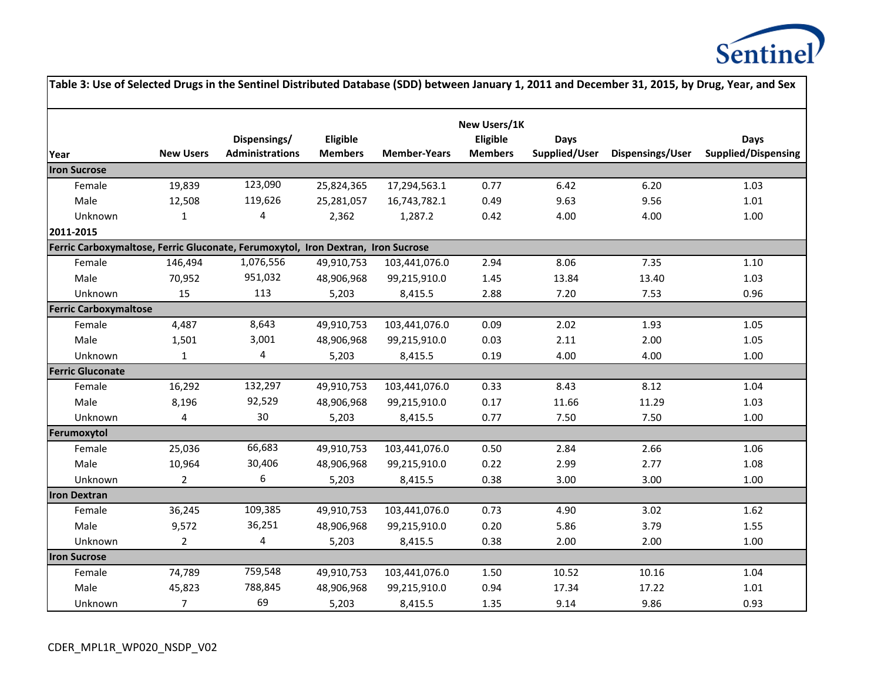

|                                                                                  |                  |                                        |                            |                     |                                            |                              |                  | Table 3: Use of Selected Drugs in the Sentinel Distributed Database (SDD) between January 1, 2011 and December 31, 2015, by Drug, Year, and Sex |
|----------------------------------------------------------------------------------|------------------|----------------------------------------|----------------------------|---------------------|--------------------------------------------|------------------------------|------------------|-------------------------------------------------------------------------------------------------------------------------------------------------|
| Year                                                                             | <b>New Users</b> | Dispensings/<br><b>Administrations</b> | Eligible<br><b>Members</b> | <b>Member-Years</b> | New Users/1K<br>Eligible<br><b>Members</b> | <b>Days</b><br>Supplied/User | Dispensings/User | <b>Days</b><br><b>Supplied/Dispensing</b>                                                                                                       |
| <b>Iron Sucrose</b>                                                              |                  |                                        |                            |                     |                                            |                              |                  |                                                                                                                                                 |
| Female                                                                           | 19,839           | 123,090                                | 25,824,365                 | 17,294,563.1        | 0.77                                       | 6.42                         | 6.20             | 1.03                                                                                                                                            |
| Male                                                                             | 12,508           | 119,626                                | 25,281,057                 | 16,743,782.1        | 0.49                                       | 9.63                         | 9.56             | $1.01\,$                                                                                                                                        |
| Unknown                                                                          | $\mathbf{1}$     | 4                                      | 2,362                      | 1,287.2             | 0.42                                       | 4.00                         | 4.00             | 1.00                                                                                                                                            |
| 2011-2015                                                                        |                  |                                        |                            |                     |                                            |                              |                  |                                                                                                                                                 |
| Ferric Carboxymaltose, Ferric Gluconate, Ferumoxytol, Iron Dextran, Iron Sucrose |                  |                                        |                            |                     |                                            |                              |                  |                                                                                                                                                 |
| Female                                                                           | 146,494          | 1,076,556                              | 49,910,753                 | 103,441,076.0       | 2.94                                       | 8.06                         | 7.35             | 1.10                                                                                                                                            |
| Male                                                                             | 70,952           | 951,032                                | 48,906,968                 | 99,215,910.0        | 1.45                                       | 13.84                        | 13.40            | 1.03                                                                                                                                            |
| Unknown                                                                          | 15               | 113                                    | 5,203                      | 8,415.5             | 2.88                                       | 7.20                         | 7.53             | 0.96                                                                                                                                            |
| <b>Ferric Carboxymaltose</b>                                                     |                  |                                        |                            |                     |                                            |                              |                  |                                                                                                                                                 |
| Female                                                                           | 4,487            | 8,643                                  | 49,910,753                 | 103,441,076.0       | 0.09                                       | 2.02                         | 1.93             | 1.05                                                                                                                                            |
| Male                                                                             | 1,501            | 3,001                                  | 48,906,968                 | 99,215,910.0        | 0.03                                       | 2.11                         | 2.00             | 1.05                                                                                                                                            |
| Unknown                                                                          | $\mathbf{1}$     | $\overline{\mathbf{4}}$                | 5,203                      | 8,415.5             | 0.19                                       | 4.00                         | 4.00             | 1.00                                                                                                                                            |
| <b>Ferric Gluconate</b>                                                          |                  |                                        |                            |                     |                                            |                              |                  |                                                                                                                                                 |
| Female                                                                           | 16,292           | 132,297                                | 49,910,753                 | 103,441,076.0       | 0.33                                       | 8.43                         | 8.12             | 1.04                                                                                                                                            |
| Male                                                                             | 8,196            | 92,529                                 | 48,906,968                 | 99,215,910.0        | 0.17                                       | 11.66                        | 11.29            | 1.03                                                                                                                                            |
| Unknown                                                                          | 4                | $30\,$                                 | 5,203                      | 8,415.5             | 0.77                                       | 7.50                         | 7.50             | 1.00                                                                                                                                            |
| Ferumoxytol                                                                      |                  |                                        |                            |                     |                                            |                              |                  |                                                                                                                                                 |
| Female                                                                           | 25,036           | 66,683                                 | 49,910,753                 | 103,441,076.0       | 0.50                                       | 2.84                         | 2.66             | 1.06                                                                                                                                            |
| Male                                                                             | 10,964           | 30,406                                 | 48,906,968                 | 99,215,910.0        | 0.22                                       | 2.99                         | 2.77             | 1.08                                                                                                                                            |
| Unknown                                                                          | $\overline{2}$   | 6                                      | 5,203                      | 8,415.5             | 0.38                                       | 3.00                         | 3.00             | 1.00                                                                                                                                            |
| <b>Iron Dextran</b>                                                              |                  |                                        |                            |                     |                                            |                              |                  |                                                                                                                                                 |
| Female                                                                           | 36,245           | 109,385                                | 49,910,753                 | 103,441,076.0       | 0.73                                       | 4.90                         | 3.02             | 1.62                                                                                                                                            |
| Male                                                                             | 9,572            | 36,251                                 | 48,906,968                 | 99,215,910.0        | 0.20                                       | 5.86                         | 3.79             | 1.55                                                                                                                                            |
| Unknown                                                                          | $\overline{2}$   | $\overline{\mathbf{4}}$                | 5,203                      | 8,415.5             | 0.38                                       | 2.00                         | 2.00             | 1.00                                                                                                                                            |
| <b>Iron Sucrose</b>                                                              |                  |                                        |                            |                     |                                            |                              |                  |                                                                                                                                                 |
| Female                                                                           | 74,789           | 759,548                                | 49,910,753                 | 103,441,076.0       | 1.50                                       | 10.52                        | 10.16            | 1.04                                                                                                                                            |
| Male                                                                             | 45,823           | 788,845                                | 48,906,968                 | 99,215,910.0        | 0.94                                       | 17.34                        | 17.22            | $1.01\,$                                                                                                                                        |
| Unknown                                                                          | $\overline{7}$   | 69                                     | 5,203                      | 8,415.5             | 1.35                                       | 9.14                         | 9.86             | 0.93                                                                                                                                            |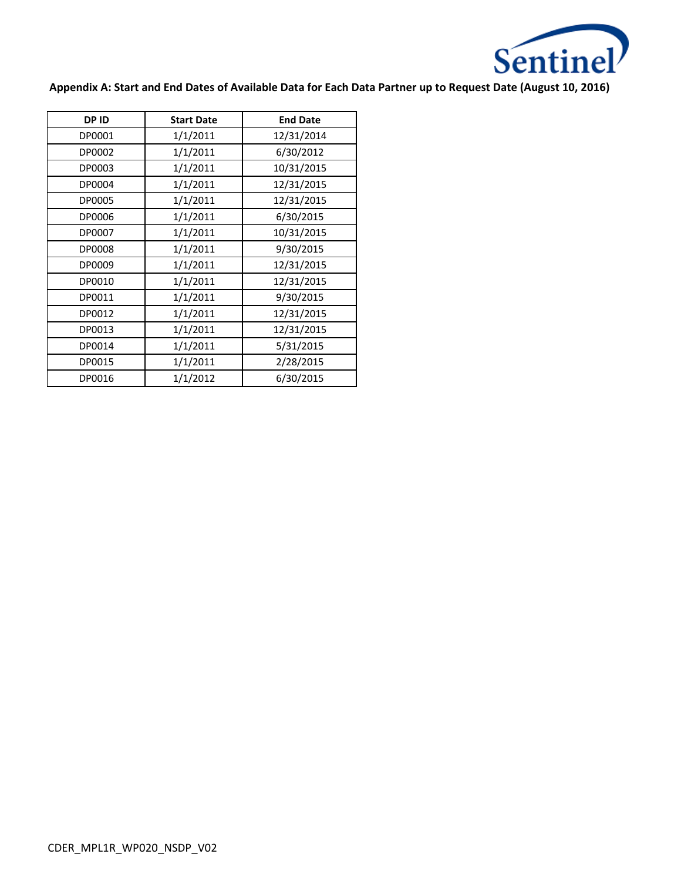

**Appendix A: Start and End Dates of Available Data for Each Data Partner up to Request Date (August 10, 2016)**

| <b>DPID</b> | <b>Start Date</b> | <b>End Date</b> |
|-------------|-------------------|-----------------|
| DP0001      | 1/1/2011          | 12/31/2014      |
| DP0002      | 1/1/2011          | 6/30/2012       |
| DP0003      | 1/1/2011          | 10/31/2015      |
| DP0004      | 1/1/2011          | 12/31/2015      |
| DP0005      | 1/1/2011          | 12/31/2015      |
| DP0006      | 1/1/2011          | 6/30/2015       |
| DP0007      | 1/1/2011          | 10/31/2015      |
| DP0008      | 1/1/2011          | 9/30/2015       |
| DP0009      | 1/1/2011          | 12/31/2015      |
| DP0010      | 1/1/2011          | 12/31/2015      |
| DP0011      | 1/1/2011          | 9/30/2015       |
| DP0012      | 1/1/2011          | 12/31/2015      |
| DP0013      | 1/1/2011          | 12/31/2015      |
| DP0014      | 1/1/2011          | 5/31/2015       |
| DP0015      | 1/1/2011          | 2/28/2015       |
| DP0016      | 1/1/2012          | 6/30/2015       |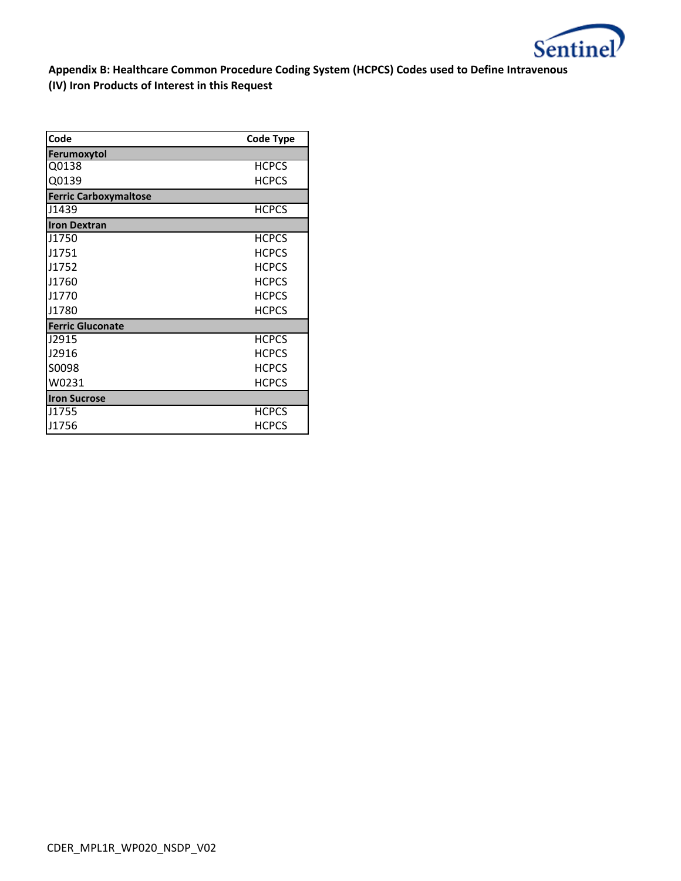

**Appendix B: Healthcare Common Procedure Coding System (HCPCS) Codes used to Define Intravenous (IV) Iron Products of Interest in this Request**

| Code                         | <b>Code Type</b> |
|------------------------------|------------------|
| Ferumoxytol                  |                  |
| Q0138                        | <b>HCPCS</b>     |
| Q0139                        | <b>HCPCS</b>     |
| <b>Ferric Carboxymaltose</b> |                  |
| J1439                        | <b>HCPCS</b>     |
| <b>Iron Dextran</b>          |                  |
| J1750                        | <b>HCPCS</b>     |
| J1751                        | <b>HCPCS</b>     |
| J1752                        | <b>HCPCS</b>     |
| J1760                        | <b>HCPCS</b>     |
| J1770                        | <b>HCPCS</b>     |
| J1780                        | <b>HCPCS</b>     |
| <b>Ferric Gluconate</b>      |                  |
| J2915                        | <b>HCPCS</b>     |
| J2916                        | <b>HCPCS</b>     |
| S0098                        | <b>HCPCS</b>     |
| W0231                        | <b>HCPCS</b>     |
| <b>Iron Sucrose</b>          |                  |
| J1755                        | <b>HCPCS</b>     |
| J1756                        | <b>HCPCS</b>     |